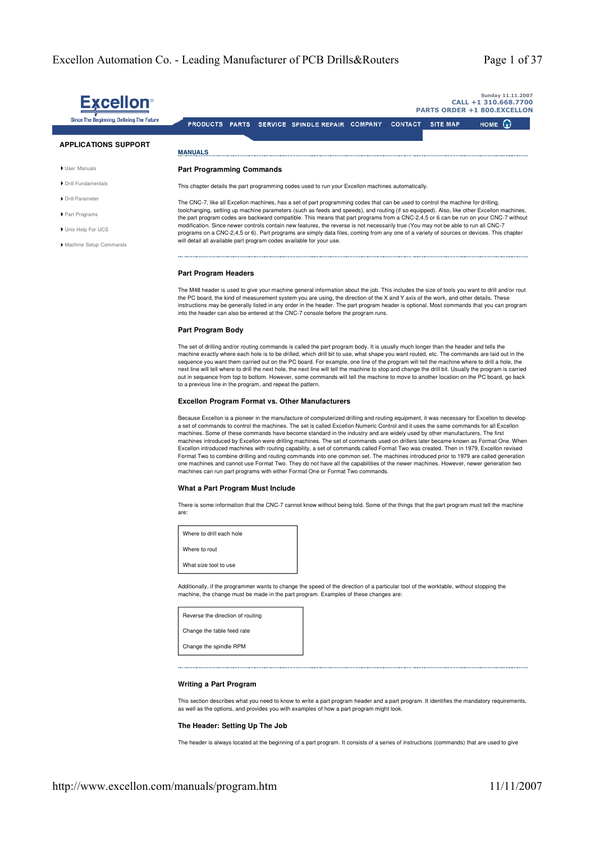|                                          | Sunday 11.11.2007<br>CALL +1 310.668.7700<br><b>PARTS ORDER +1 800.EXCELLON</b>                                                                                                                                                                                                   |  |  |
|------------------------------------------|-----------------------------------------------------------------------------------------------------------------------------------------------------------------------------------------------------------------------------------------------------------------------------------|--|--|
| Since The Beginning, Defining The Future | HOME $\omega$<br><b>PRODUCTS</b><br><b>CONTACT</b><br><b>SITE MAP</b><br><b>SPINDLE REPAIR</b><br><b>COMPANY</b><br><b>PARTS</b><br><b>SERVICE</b>                                                                                                                                |  |  |
| <b>APPLICATIONS SUPPORT</b>              | <b>MANUALS</b>                                                                                                                                                                                                                                                                    |  |  |
| User Manuals                             | <b>Part Programming Commands</b>                                                                                                                                                                                                                                                  |  |  |
| Drill Fundamentals                       | This chapter details the part programming codes used to run your Excellon machines automatically.                                                                                                                                                                                 |  |  |
| Drill Parameter                          | The CNC-7, like all Excellon machines, has a set of part programming codes that can be used to control the machine for drilling,                                                                                                                                                  |  |  |
| Part Programs                            | toolchanging, setting up machine parameters (such as feeds and speeds), and routing (if so equipped). Also, like other Excellon machines,<br>the part program codes are backward compatible. This means that part programs from a CNC-2,4,5 or 6 can be run on your CNC-7 without |  |  |
| Unix Help For UCS                        | modification. Since newer controls contain new features, the reverse is not necessarily true (You may not be able to run all CNC-7<br>programs on a CNC-2,4,5 or 6). Part programs are simply data files, coming from any one of a variety of sources or devices. This chapter    |  |  |
| Machine Setup Commands                   | will detail all available part program codes available for your use.                                                                                                                                                                                                              |  |  |

#### **Part Program Headers**

The M48 header is used to give your machine general information about the job. This includes the size of tools you want to drill and/or rout the PC board, the kind of measurement system you are using, the direction of the X and Y axis of the work, and other details. These instructions may be generally listed in any order in the header. The part program header is optional. Most commands that you can program into the header can also be entered at the CNC-7 console before the program runs.

#### **Part Program Body**

The set of drilling and/or routing commands is called the part program body. It is usually much longer than the header and tells the machine exactly where each hole is to be drilled, which drill bit to use, what shape you want routed, etc. The commands are laid out in the sequence you want them carried out on the PC board. For example, one line of the program will tell the machine where to drill a hole, the next line will tell where to drill the next hole, the next line will tell the machine to stop and change the drill bit. Usually the program is carried out in sequence from top to bottom. However, some commands will tell the machine to move to another location on the PC board, go back to a previous line in the program, and repeat the pattern.

#### **Excellon Program Format vs. Other Manufacturers**

Because Excellon is a pioneer in the manufacture of computerized drilling and routing equipment, it was necessary for Excellon to develop a set of commands to control the machines. The set is called Excellon Numeric Control and it uses the same commands for all Excellon machines. Some of these commands have become standard in the industry and are widely used by other manufacturers. The first machines introduced by Excellon were drilling machines. The set of commands used on drillers later became known as Format One. When Excellon introduced machines with routing capability, a set of commands called Format Two was created. Then in 1979, Excellon revised Format Two to combine drilling and routing commands into one common set. The machines introduced prior to 1979 are called generation<br>one machines and cannot use Format Two. They do not have all the capabilities of the newe machines can run part programs with either Format One or Format Two commands.

# **What a Part Program Must Include**

There is some information that the CNC-7 cannot know without being told. Some of the things that the part program must tell the machine are:

Where to drill each hole Where to rout What size tool to use

Additionally, if the programmer wants to change the speed of the direction of a particular tool of the worktable, without stopping the machine, the change must be made in the part program. Examples of these changes are:

| Reverse the direction of routing |
|----------------------------------|
| Change the table feed rate       |
| Change the spindle RPM           |

# **Writing a Part Program**

This section describes what you need to know to write a part program header and a part program. It identifies the mandatory requirements, as well as the options, and provides you with examples of how a part program might look.

#### **The Header: Setting Up The Job**

The header is always located at the beginning of a part program. It consists of a series of instructions (commands) that are used to give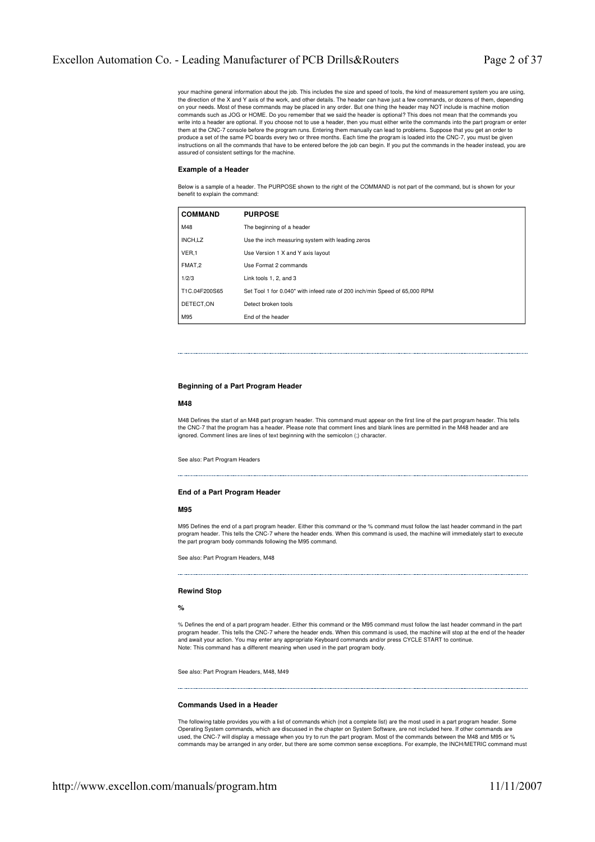your machine general information about the job. This includes the size and speed of tools, the kind of measurement system you are using, the direction of the X and Y axis of the work, and other details. The header can have just a few commands, or dozens of them, depending on your needs. Most of these commands may be placed in any order. But one thing the header may NOT include is machine motion commands such as JOG or HOME. Do you remember that we said the header is optional? This does not mean that the commands you write into a header are optional. If you choose not to use a header, then you must either write the commands into the part program or enter them at the CNC-7 console before the program runs. Entering them manually can lead to problems. Suppose that you get an order to produce a set of the same PC boards every two or three months. Each time the program is loaded into the CNC-7, you must be given instructions on all the commands that have to be entered before the job can begin. If you put the commands in the header instead, you are assured of consistent settings for the machine.

#### **Example of a Header**

Below is a sample of a header. The PURPOSE shown to the right of the COMMAND is not part of the command, but is shown for your benefit to explain the command:

| <b>COMMAND</b> | <b>PURPOSE</b>                                                             |
|----------------|----------------------------------------------------------------------------|
| M48            | The beginning of a header                                                  |
| INCH,LZ        | Use the inch measuring system with leading zeros                           |
| VER,1          | Use Version 1 X and Y axis layout                                          |
| FMAT,2         | Use Format 2 commands                                                      |
| 1/2/3          | Link tools 1, 2, and 3                                                     |
| T1C.04F200S65  | Set Tool 1 for 0.040" with infeed rate of 200 inch/min Speed of 65,000 RPM |
| DETECT.ON      | Detect broken tools                                                        |
| M95            | End of the header                                                          |

# **Beginning of a Part Program Header**

#### **M48**

M48 Defines the start of an M48 part program header. This command must appear on the first line of the part program header. This tells the CNC-7 that the program has a header. Please note that comment lines and blank lines are permitted in the M48 header and are ignored. Comment lines are lines of text beginning with the semicolon (;) character.

See also: Part Program Headers

#### **End of a Part Program Header**

#### **M95**

M95 Defines the end of a part program header. Either this command or the % command must follow the last header command in the part program header. This tells the CNC-7 where the header ends. When this command is used, the machine will immediately start to execute the part program body commands following the M95 command.

See also: Part Program Headers, M48

#### **Rewind Stop**

**%**

% Defines the end of a part program header. Either this command or the M95 command must follow the last header command in the part program header. This tells the CNC-7 where the header ends. When this command is used, the machine will stop at the end of the header and await your action. You may enter any appropriate Keyboard commands and/or press CYCLE START to continue. Note: This command has a different meaning when used in the part program body.

See also: Part Program Headers, M48, M49

# **Commands Used in a Header**

The following table provides you with a list of commands which (not a complete list) are the most used in a part program header. Some Operating System commands, which are discussed in the chapter on System Software, are not included here. If other commands are used, the CNC-7 will display a message when you try to run the part program. Most of the commands between the M48 and M95 or % commands may be arranged in any order, but there are some common sense exceptions. For example, the INCH/METRIC command must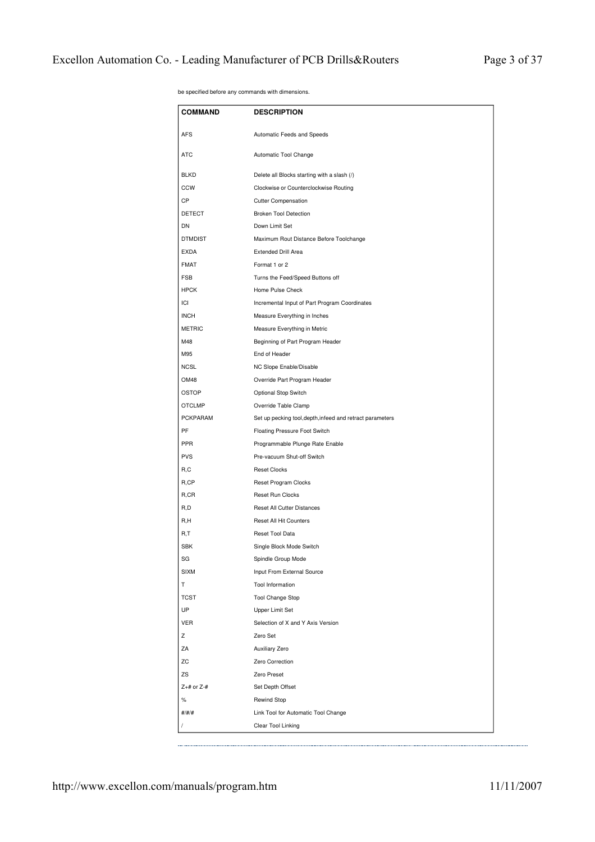| be specified before any commands with dimensions. |  |
|---------------------------------------------------|--|
|---------------------------------------------------|--|

| <b>COMMAND</b>   | <b>DESCRIPTION</b>                                        |
|------------------|-----------------------------------------------------------|
| <b>AFS</b>       | Automatic Feeds and Speeds                                |
| <b>ATC</b>       | Automatic Tool Change                                     |
| <b>BLKD</b>      | Delete all Blocks starting with a slash (/)               |
| <b>CCW</b>       | Clockwise or Counterclockwise Routing                     |
| СP               | <b>Cutter Compensation</b>                                |
| <b>DETECT</b>    | <b>Broken Tool Detection</b>                              |
| DN               | Down Limit Set                                            |
| <b>DTMDIST</b>   | Maximum Rout Distance Before Toolchange                   |
| <b>EXDA</b>      | <b>Extended Drill Area</b>                                |
| <b>FMAT</b>      | Format 1 or 2                                             |
| <b>FSB</b>       | Turns the Feed/Speed Buttons off                          |
| <b>HPCK</b>      | Home Pulse Check                                          |
| ICI              | Incremental Input of Part Program Coordinates             |
| <b>INCH</b>      | Measure Everything in Inches                              |
| <b>METRIC</b>    | Measure Everything in Metric                              |
| M48              | Beginning of Part Program Header                          |
| M95              | End of Header                                             |
| <b>NCSL</b>      | NC Slope Enable/Disable                                   |
| OM48             | Override Part Program Header                              |
| OSTOP            | Optional Stop Switch                                      |
| <b>OTCLMP</b>    | Override Table Clamp                                      |
| PCKPARAM         | Set up pecking tool, depth, infeed and retract parameters |
| PF               | Floating Pressure Foot Switch                             |
| PPR              | Programmable Plunge Rate Enable                           |
| <b>PVS</b>       | Pre-vacuum Shut-off Switch                                |
| R, C             | <b>Reset Clocks</b>                                       |
| R,CP             | Reset Program Clocks                                      |
| R,CR             | Reset Run Clocks                                          |
| R, D             | Reset All Cutter Distances                                |
| R,H              | Reset All Hit Counters                                    |
| R,T              | Reset Tool Data                                           |
| <b>SBK</b>       | Single Block Mode Switch                                  |
| SG               | Spindle Group Mode                                        |
| <b>SIXM</b>      | Input From External Source                                |
| т                | Tool Information                                          |
| <b>TCST</b>      | <b>Tool Change Stop</b>                                   |
| UP               | Upper Limit Set                                           |
| <b>VER</b>       | Selection of X and Y Axis Version                         |
| z                | Zero Set                                                  |
| ΖA               | Auxiliary Zero                                            |
| ZC               | Zero Correction                                           |
| ZS               | Zero Preset                                               |
| $Z+$ # or $Z-$ # | Set Depth Offset                                          |
| $\%$             | <b>Rewind Stop</b>                                        |
| #/#/#            | Link Tool for Automatic Tool Change                       |
|                  | Clear Tool Linking                                        |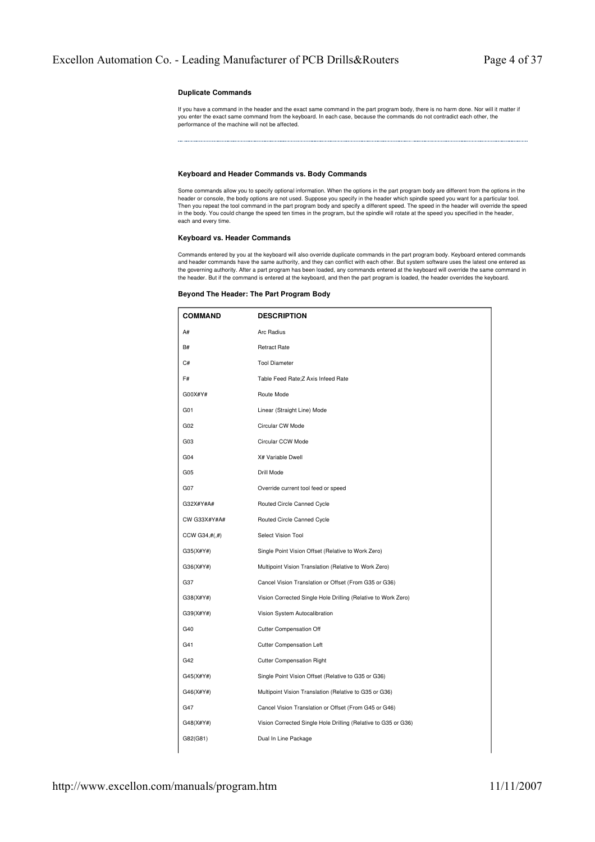# **Duplicate Commands**

If you have a command in the header and the exact same command in the part program body, there is no harm done. Nor will it matter if you enter the exact same command from the keyboard. In each case, because the commands do not contradict each other, the performance of the machine will not be affected.

# **Keyboard and Header Commands vs. Body Commands**

Some commands allow you to specify optional information. When the options in the part program body are different from the options in the header or console, the body options are not used. Suppose you specify in the header which spindle speed you want for a particular tool.<br>Then you repeat the tool command in the part program body and specify a different spee in the body. You could change the speed ten times in the program, but the spindle will rotate at the speed you specified in the header, each and every time.

# **Keyboard vs. Header Commands**

Commands entered by you at the keyboard will also override duplicate commands in the part program body. Keyboard entered commands and header commands have the same authority, and they can conflict with each other. But system software uses the latest one entered as<br>the governing authority. After a part program has been loaded, any commands entered at the header. But if the command is entered at the keyboard, and then the part program is loaded, the header overrides the keyboard.

| <b>COMMAND</b>         | <b>DESCRIPTION</b>                                             |
|------------------------|----------------------------------------------------------------|
| A#                     | Arc Radius                                                     |
| B#                     | <b>Retract Rate</b>                                            |
| C#                     | <b>Tool Diameter</b>                                           |
| F#                     | Table Feed Rate; Z Axis Infeed Rate                            |
| G00X#Y#                | Route Mode                                                     |
| G01                    | Linear (Straight Line) Mode                                    |
| G02                    | Circular CW Mode                                               |
| G03                    | Circular CCW Mode                                              |
| G04                    | X# Variable Dwell                                              |
| G05                    | Drill Mode                                                     |
| G07                    | Override current tool feed or speed                            |
| G32X#Y#A#              | Routed Circle Canned Cycle                                     |
| CW G33X#Y#A#           | Routed Circle Canned Cycle                                     |
| $CCW$ G34,# $($ ,# $)$ | Select Vision Tool                                             |
| G35(X#Y#)              | Single Point Vision Offset (Relative to Work Zero)             |
| G36(X#Y#)              | Multipoint Vision Translation (Relative to Work Zero)          |
| G37                    | Cancel Vision Translation or Offset (From G35 or G36)          |
| G38(X#Y#)              | Vision Corrected Single Hole Drilling (Relative to Work Zero)  |
| G39(X#Y#)              | Vision System Autocalibration                                  |
| G40                    | <b>Cutter Compensation Off</b>                                 |
| G41                    | <b>Cutter Compensation Left</b>                                |
| G42                    | <b>Cutter Compensation Right</b>                               |
| G45(X#Y#)              | Single Point Vision Offset (Relative to G35 or G36)            |
| G46(X#Y#)              | Multipoint Vision Translation (Relative to G35 or G36)         |
| G47                    | Cancel Vision Translation or Offset (From G45 or G46)          |
| G48(X#Y#)              | Vision Corrected Single Hole Drilling (Relative to G35 or G36) |
| G82(G81)               | Dual In Line Package                                           |

# **Beyond The Header: The Part Program Body**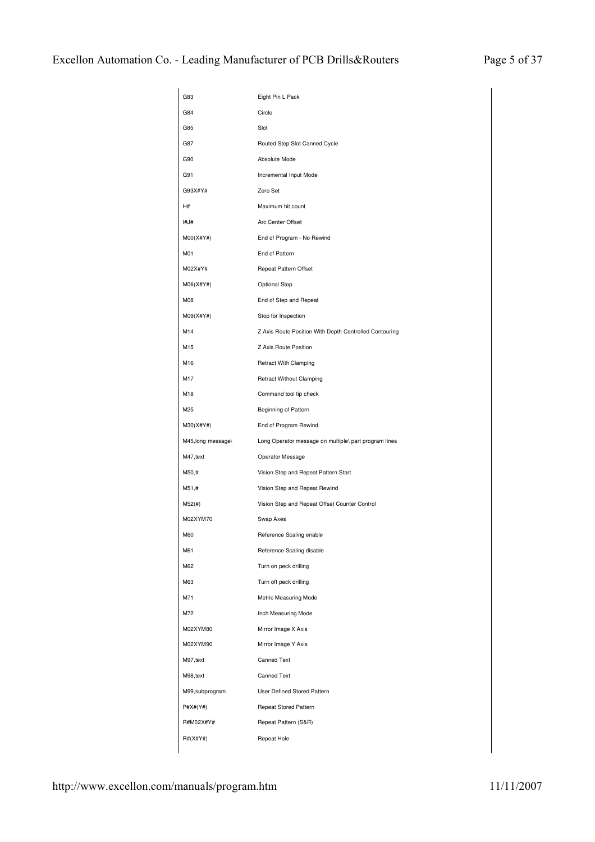| G83                | Eight Pin L Pack                                       |
|--------------------|--------------------------------------------------------|
| G84                | Circle                                                 |
| G85                | Slot                                                   |
| G87                | Routed Step Slot Canned Cycle                          |
| G90                | Absolute Mode                                          |
| G91                | Incremental Input Mode                                 |
| G93X#Y#            | Zero Set                                               |
| H#                 | Maximum hit count                                      |
| I#J#               | Arc Center Offset                                      |
| $M00(X\#Y\#)$      | End of Program - No Rewind                             |
| M01                | End of Pattern                                         |
| M02X#Y#            | Repeat Pattern Offset                                  |
| M06(X#Y#)          | Optional Stop                                          |
| M08                | End of Step and Repeat                                 |
| M09(X#Y#)          | Stop for Inspection                                    |
| M14                | Z Axis Route Position With Depth Controlled Contouring |
| M15                | Z Axis Route Position                                  |
| M16                | <b>Retract With Clamping</b>                           |
| M17                | <b>Retract Without Clamping</b>                        |
| M18                | Command tool tip check                                 |
| M25                | Beginning of Pattern                                   |
| M30(X#Y#)          | End of Program Rewind                                  |
| M45, long message\ | Long Operator message on multiple\ part program lines  |
| M47, text          | Operator Message                                       |
| M50,#              | Vision Step and Repeat Pattern Start                   |
| M51,#              | Vision Step and Repeat Rewind                          |
| M52(#)             | Vision Step and Repeat Offset Counter Control          |
| M02XYM70           | Swap Axes                                              |
| M60                | Reference Scaling enable                               |
| M61                | Reference Scaling disable                              |
| M62                | Turn on peck drilling                                  |
| M63                | Turn off peck drilling                                 |
| M71                | Metric Measuring Mode                                  |
| M72                | Inch Measuring Mode                                    |
| M02XYM80           | Mirror Image X Axis                                    |
| M02XYM90           | Mirror Image Y Axis                                    |
| M97, text          | <b>Canned Text</b>                                     |
| M98, text          | <b>Canned Text</b>                                     |
| M99,subprogram     | User Defined Stored Pattern                            |
| P#X#(Y#)           | Repeat Stored Pattern                                  |
| R#M02X#Y#          | Repeat Pattern (S&R)                                   |
| R#(X#Y#)           | Repeat Hole                                            |
|                    |                                                        |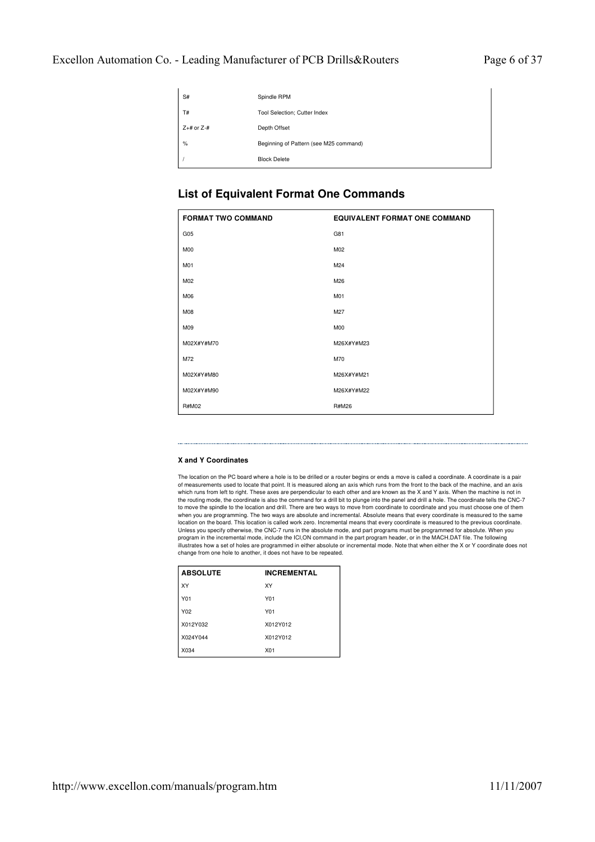| S#               | Spindle RPM                            |
|------------------|----------------------------------------|
| T#               | Tool Selection; Cutter Index           |
| $Z+$ # or $Z-$ # | Depth Offset                           |
| $\%$             | Beginning of Pattern (see M25 command) |
|                  | <b>Block Delete</b>                    |

# **List of Equivalent Format One Commands**

| <b>FORMAT TWO COMMAND</b> | <b>EQUIVALENT FORMAT ONE COMMAND</b> |
|---------------------------|--------------------------------------|
| G <sub>05</sub>           | G81                                  |
| M <sub>0</sub>            | M02                                  |
| M01                       | M24                                  |
| M02                       | M26                                  |
| M06                       | M01                                  |
| <b>M08</b>                | M27                                  |
| M09                       | M <sub>0</sub>                       |
| M02X#Y#M70                | M26X#Y#M23                           |
| M72                       | M70                                  |
| M02X#Y#M80                | M26X#Y#M21                           |
| M02X#Y#M90                | M26X#Y#M22                           |
| R#M02                     | <b>R#M26</b>                         |

# **X and Y Coordinates**

The location on the PC board where a hole is to be drilled or a router begins or ends a move is called a coordinate. A coordinate is a pair of measurements used to locate that point. It is measured along an axis which runs from the front to the back of the machine, and an axis which runs from left to right. These axes are perpendicular to each other and are known as the X and Y axis. When the machine is not in the routing mode, the coordinate is also the command for a drill bit to plunge into the panel and drill a hole. The coordinate tells the CNC-7 to move the spindle to the location and drill. There are two ways to move from coordinate to coordinate and you must choose one of them when you are programming. The two ways are absolute and incremental. Absolute means that every coordinate is measured to the same<br>location on the board. This location is called work zero. Incremental means that every coord Unless you specify otherwise, the CNC-7 runs in the absolute mode, and part programs must be programmed for absolute. When you program in the incremental mode, include the ICI,ON command in the part program header, or in the MACH.DAT file. The following<br>illustrates how a set of holes are programmed in either absolute or incremental mode. Note that change from one hole to another, it does not have to be repeated.

| <b>ABSOLUTE</b> | <b>INCREMENTAL</b> |
|-----------------|--------------------|
| XΥ              | XY                 |
| Y01             | Y01                |
| Y02             | Y01                |
| X012Y032        | X012Y012           |
| X024Y044        | X012Y012           |
| X034            | X01                |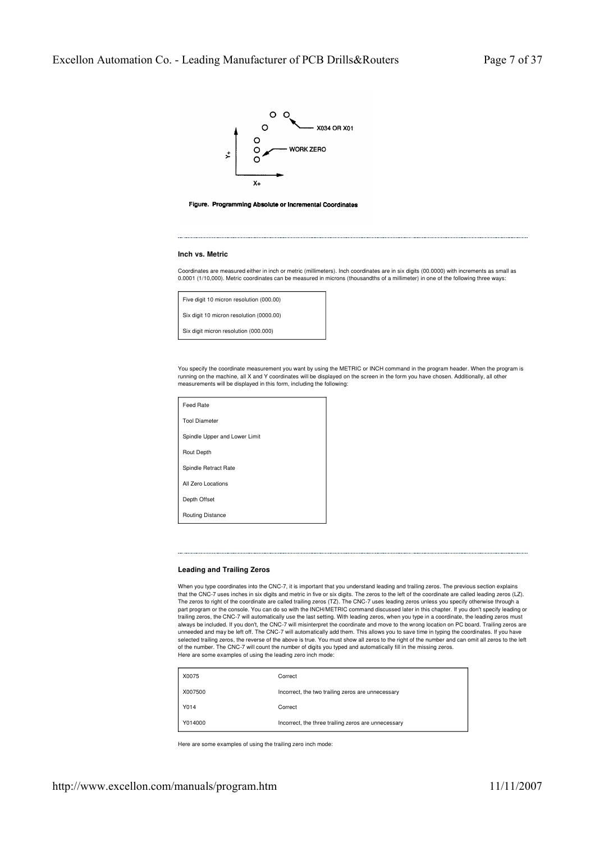



#### **Inch vs. Metric**

Coordinates are measured either in inch or metric (millimeters). Inch coordinates are in six digits (00,0000) with increments as small as 0.0001 (1/10,000). Metric coordinates can be measured in microns (thousandths of a millimeter) in one of the following three ways:

| Five digit 10 micron resolution (000.00) |  |
|------------------------------------------|--|
| Six digit 10 micron resolution (0000.00) |  |
| Six digit micron resolution (000.000)    |  |

You specify the coordinate measurement you want by using the METRIC or INCH command in the program header. When the program is running on the machine, all X and Y coordinates will be displayed on the screen in the form you have chosen. Additionally, all other measurements will be displayed in this form, including the following:

| Feed Rate                     |
|-------------------------------|
| <b>Tool Diameter</b>          |
| Spindle Upper and Lower Limit |
| <b>Rout Depth</b>             |
| Spindle Retract Rate          |
| All Zero Locations            |
| Depth Offset                  |
| <b>Routing Distance</b>       |

# **Leading and Trailing Zeros**

When you type coordinates into the CNC-7, it is important that you understand leading and trailing zeros. The previous section explains that the CNC-7 uses inches in six digits and metric in five or six digits. The zeros to the left of the coordinate are called leading zeros (LZ).<br>The zeros to right of the coordinate are called trailing zeros (TZ). The CN part program or the console. You can do so with the INCH/METRIC command discussed later in this chapter. If you don't specify leading or trailing zeros, the CNC-7 will automatically use the last setting. With leading zeros, when you type in a coordinate, the leading zeros must always be included. If you don't, the CNC-7 will misinterpret the coordinate and move to the wrong location on PC board. Trailing zeros are<br>unneeded and may be left off. The CNC-7 will automatically add them. This allows y selected trailing zeros, the reverse of the above is true. You must show all zeros to the right of the number and can omit all zeros to the left of the number. The CNC-7 will count the number of digits you typed and automatically fill in the missing zeros. Here are some examples of using the leading zero inch mode:

| X0075   | Correct                                             |
|---------|-----------------------------------------------------|
| X007500 | Incorrect, the two trailing zeros are unnecessary   |
| Y014    | Correct                                             |
| Y014000 | Incorrect, the three trailing zeros are unnecessary |

Here are some examples of using the trailing zero inch mode: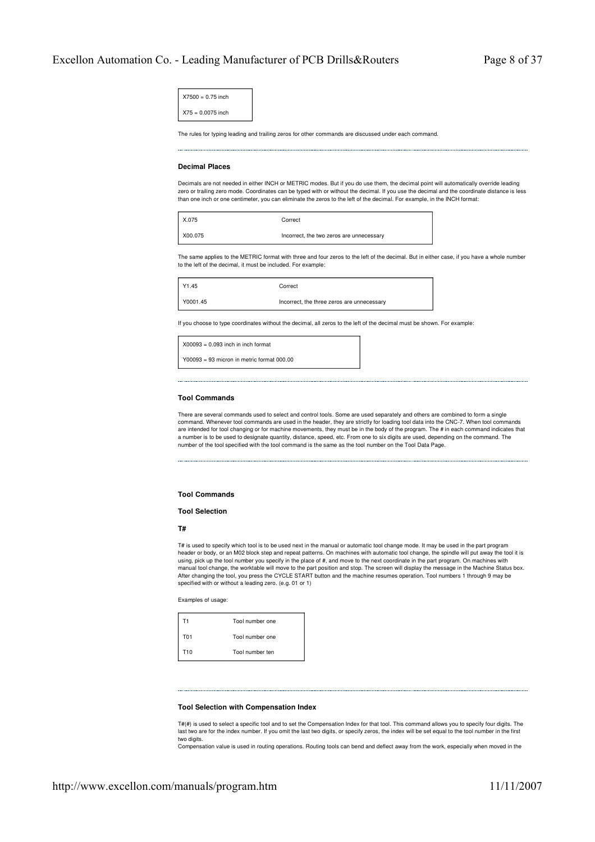| $X7500 = 0.75$ inch |  |
|---------------------|--|
| $X75 = 0.0075$ inch |  |

The rules for typing leading and trailing zeros for other commands are discussed under each command.

#### **Decimal Places**

Decimals are not needed in either INCH or METRIC modes. But if you do use them, the decimal point will automatically override leading zero or trailing zero mode. Coordinates can be typed with or without the decimal. If you use the decimal and the coordinate distance is less than one inch or one centimeter, you can eliminate the zeros to the left of the decimal. For example, in the INCH format:

| $\mid$ X.075 | Correct                                  |
|--------------|------------------------------------------|
| X00.075      | Incorrect, the two zeros are unnecessary |

The same applies to the METRIC format with three and four zeros to the left of the decimal. But in either case, if you have a whole number to the left of the decimal, it must be included. For example:

| Y1.45    | Correct                                    |
|----------|--------------------------------------------|
| V0001.45 | Incorrect, the three zeros are unnecessary |

If you choose to type coordinates without the decimal, all zeros to the left of the decimal must be shown. For example:

 $X00093 = 0.093$  inch in inch format

 $Y00093 = 93$  micron in metric format 000.00

# **Tool Commands**

There are several commands used to select and control tools. Some are used separately and others are combined to form a single command. Whenever tool commands are used in the header, they are strictly for loading tool data into the CNC-7. When tool commands<br>are intended for tool changing or for machine movements, they must be in the body of the pr a number is to be used to designate quantity, distance, speed, etc. From one to six digits are used, depending on the command. The number of the tool specified with the tool command is the same as the tool number on the Tool Data Page.

#### **Tool Commands**

#### **Tool Selection**

**T#**

T# is used to specify which tool is to be used next in the manual or automatic tool change mode. It may be used in the part program header or body, or an M02 block step and repeat patterns. On machines with automatic tool change, the spindle will put away the tool it is using, pick up the tool number you specify in the place of #, and move to the next coordinate in the part program. On machines with manual tool change, the worktable will move to the part position and stop. The screen will display the message in the Machine Status box. After changing the tool, you press the CYCLE START button and the machine resumes operation. Tool numbers 1 through 9 may be specified with or without a leading zero. (e.g. 01 or 1)

Examples of usage:

| Τ1              | Tool number one |
|-----------------|-----------------|
| T01             | Tool number one |
| T <sub>10</sub> | Tool number ten |

# **Tool Selection with Compensation Index**

T#(#) is used to select a specific tool and to set the Compensation Index for that tool. This command allows you to specify four digits. The last two are for the index number. If you omit the last two digits, or specify zeros, the index will be set equal to the tool number in the first two digits.

Compensation value is used in routing operations. Routing tools can bend and deflect away from the work, especially when moved in the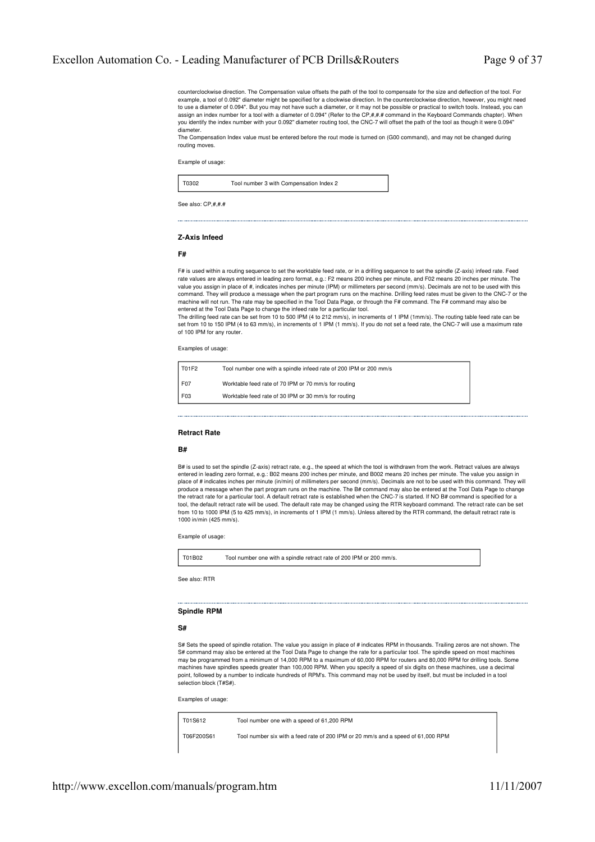counterclockwise direction. The Compensation value offsets the path of the tool to compensate for the size and deflection of the tool. For example, a tool of 0.092" diameter might be specified for a clockwise direction. In the counterclockwise direction, however, you might need to use a diameter of 0.094". But you may not have such a diameter, or it may not be possible or practical to switch tools. Instead, you can assign an index number for a tool with a diameter of 0.094" (Refer to the CP,#,#.# command in the Keyboard Commands chapter). When you identify the index number with your 0.092" diameter routing tool, the CNC-7 will offset the path of the tool as though it were 0.094" diameter.

The Compensation Index value must be entered before the rout mode is turned on (G00 command), and may not be changed during routing moves.

Example of usage:

T0302 Tool number 3 with Compensation Index 2

See also:  $CP # #$ 

#### **Z-Axis Infeed**

#### **F#**

F# is used within a routing sequence to set the worktable feed rate, or in a drilling sequence to set the spindle (Z-axis) infeed rate. Feed rate values are always entered in leading zero format, e.g.: F2 means 200 inches per minute, and F02 means 20 inches per minute. The value you assign in place of #, indicates inches per minute (IPM) or millimeters per second (mm/s). Decimals are not to be used with this command. They will produce a message when the part program runs on the machine. Drilling feed rates must be given to the CNC-7 or the machine will not run. The rate may be specified in the Tool Data Page, or through the F# command. The F# command may also be entered at the Tool Data Page to change the infeed rate for a particular tool.

The drilling feed rate can be set from 10 to 500 IPM (4 to 212 mm/s), in increments of 1 IPM (1mm/s). The routing table feed rate can be set from 10 to 150 IPM (4 to 63 mm/s), in increments of 1 IPM (1 mm/s). If you do not set a feed rate, the CNC-7 will use a maximum rate of 100 IPM for any router.

Examples of usage:

| 1 T01F2 | Tool number one with a spindle infeed rate of 200 IPM or 200 mm/s |
|---------|-------------------------------------------------------------------|
| F07     | Worktable feed rate of 70 IPM or 70 mm/s for routing              |
| F03     | Worktable feed rate of 30 IPM or 30 mm/s for routing              |

# **Retract Rate**

# **B#**

B# is used to set the spindle (Z-axis) retract rate, e.g., the speed at which the tool is withdrawn from the work. Retract values are always entered in leading zero format, e.g.: B02 means 200 inches per minute, and B002 means 20 inches per minute. The value you assign in place of # indicates inches per minute (in/min) of millimeters per second (mm/s). Decimals are not to be used with this command. They will produce a message when the part program runs on the machine. The B# command may also be entered at the Tool Data Page to change the retract rate for a particular tool. A default retract rate is established when the CNC-7 is started. If NO B# command is specified for a tool, the default retract rate will be used. The default rate may be changed using the RTR keyboard command. The retract rate can be set from 10 to 1000 IPM (5 to 425 mm/s), in increments of 1 IPM (1 mm/s). Unless altered by the RTR command, the default retract rate is 1000 in/min (425 mm/s).

Example of usage:

T01B02 Tool number one with a spindle retract rate of 200 IPM or 200 mm/s.

See also: RTR

# **Spindle RPM**

# **S#**

S# Sets the speed of spindle rotation. The value you assign in place of # indicates RPM in thousands. Trailing zeros are not shown. The S# command may also be entered at the Tool Data Page to change the rate for a particular tool. The spindle speed on most machines may be programmed from a minimum of 14,000 RPM to a maximum of 60,000 RPM for routers and 80,000 RPM for drilling tools. Some machines have spindles speeds greater than 100,000 RPM. When you specify a speed of six digits on these machines, use a decimal point, followed by a number to indicate hundreds of RPM's. This command may not be used by itself, but must be included in a tool selection block (T#S#).

Examples of usage:

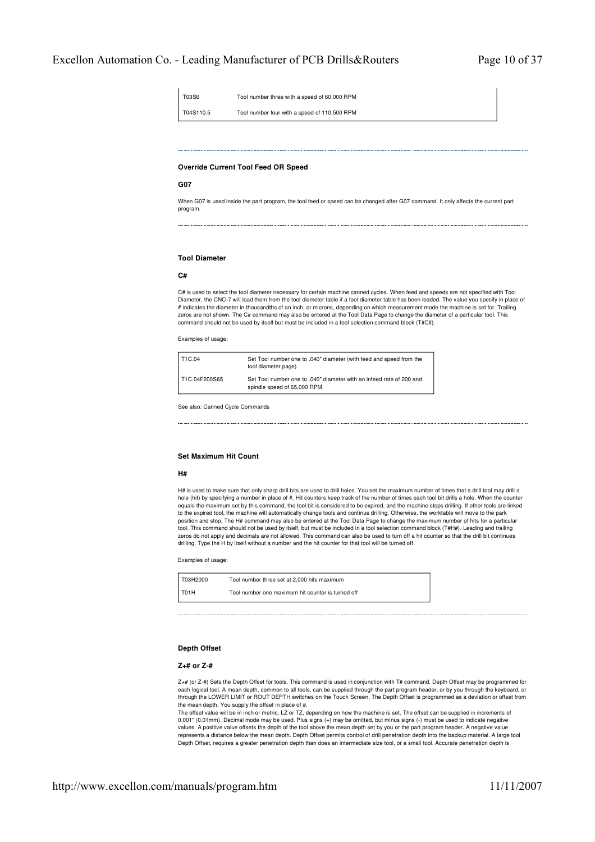| T03S6     | Tool number three with a speed of 60,000 RPM |
|-----------|----------------------------------------------|
| T04S110.5 | Tool number four with a speed of 110,500 RPM |

# **Override Current Tool Feed OR Speed**

#### **G07**

When G07 is used inside the part program, the tool feed or speed can be changed after G07 command. It only affects the current part program.

# **Tool Diameter**

# **C#**

C# is used to select the tool diameter necessary for certain machine canned cycles. When feed and speeds are not specified with Tool Diameter, the CNC-7 will load them from the tool diameter table if a tool diameter table has been loaded. The value you specify in place of # indicates the diameter in thousandths of an inch, or microns, depending on which measurement mode the machine is set for. Trailing zeros are not shown. The C# command may also be entered at the Tool Data Page to change the diameter of a particular tool. This command should not be used by itself but must be included in a tool selection command block (T#C#).

Examples of usage:

| T1C.04        | Set Tool number one to .040" diameter (with feed and speed from the<br>tool diameter page).          |
|---------------|------------------------------------------------------------------------------------------------------|
| T1C.04F200S65 | Set Tool number one to .040" diameter with an infeed rate of 200 and<br>spindle speed of 65,000 RPM. |

See also: Canned Cycle Commands

#### **Set Maximum Hit Count**

#### **H#**

H# is used to make sure that only sharp drill bits are used to drill holes. You set the maximum number of times that a drill tool may drill a hole (hit) by specifying a number in place of #. Hit counters keep track of the number of times each tool bit drills a hole. When the counter equals the maximum set by this command, the tool bit is considered to be expired, and the machine stops drilling. If other tools are linked to the expired tool, the machine will automatically change tools and continue drilling. Otherwise, the worktable will move to the park position and stop. The H# command may also be entered at the Tool Data Page to change the maximum number of hits for a particular tool. This command should not be used by itself, but must be included in a tool selection command block (T#H#). Leading and trailing zeros do not apply and decimals are not allowed. This command can also be used to turn off a hit counter so that the drill bit continues drilling. Type the H by itself without a number and the hit counter for that tool will be turned off.

Examples of usage:

| T03H2000 | Tool number three set at 2,000 hits maximum       |
|----------|---------------------------------------------------|
| $I$ T01H | Tool number one maximum hit counter is turned off |

# **Depth Offset**

#### **Z+# or Z-#**

Z+# (or Z-#) Sets the Depth Offset for tools. This command is used in conjunction with T# command. Depth Offset may be programmed for each logical tool. A mean depth, common to all tools, can be supplied through the part program header, or by you through the keyboard, or through the LOWER LIMIT or ROUT DEPTH switches on the Touch Screen. The Depth Offset is programmed as a deviation or offset from the mean depth. You supply the offset in place of #.

The offset value will be in inch or metric, LZ or TZ, depending on how the machine is set. The offset can be supplied in increments of 0.001" (0.01mm). Decimal mode may be used. Plus signs (+) may be omitted, but minus signs (-) must be used to indicate negative<br>values. A positive value offsets the depth of the tool above the mean depth set by you or the represents a distance below the mean depth. Depth Offset permits control of drill penetration depth into the backup material. A large tool Depth Offset, requires a greater penetration depth than does an intermediate size tool, or a small tool. Accurate penetration depth is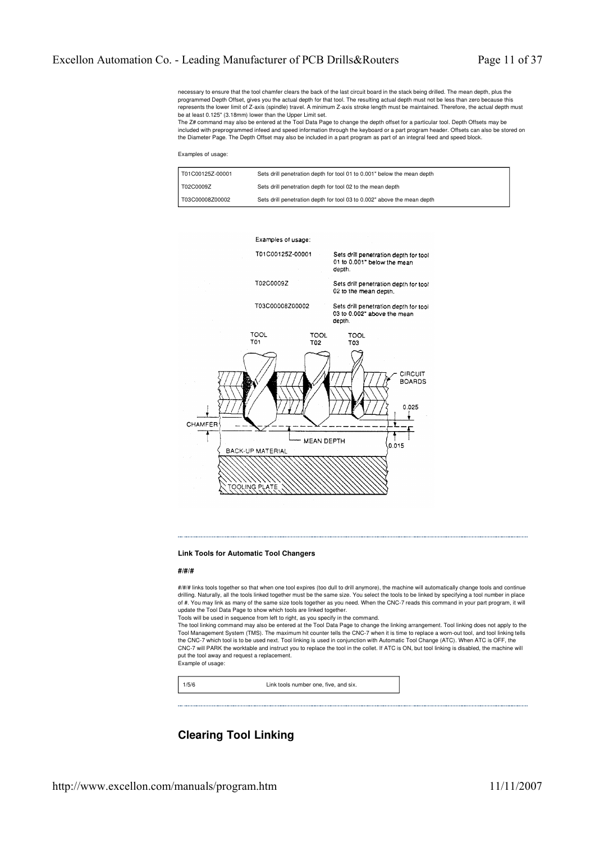necessary to ensure that the tool chamfer clears the back of the last circuit board in the stack being drilled. The mean depth, plus the programmed Depth Offset, gives you the actual depth for that tool. The resulting actual depth must not be less than zero because this represents the lower limit of Z-axis (spindle) travel. A minimum Z-axis stroke length must be maintained. Therefore, the actual depth must be at least 0.125" (3.18mm) lower than the Upper Limit set.

The Z# command may also be entered at the Tool Data Page to change the depth offset for a particular tool. Depth Offsets may be included with preprogrammed infeed and speed information through the keyboard or a part program header. Offsets can also be stored on the Diameter Page. The Depth Offset may also be included in a part program as part of an integral feed and speed block.

#### Examples of usage:

| T01C00125Z-00001 | Sets drill penetration depth for tool 01 to 0.001" below the mean depth |
|------------------|-------------------------------------------------------------------------|
| T02C0009Z        | Sets drill penetration depth for tool 02 to the mean depth              |
| T03C00008Z00002  | Sets drill penetration depth for tool 03 to 0.002" above the mean depth |



#### **Link Tools for Automatic Tool Changers**

#### **#/#/#**

#/#/# links tools together so that when one tool expires (too dull to drill anymore), the machine will automatically change tools and continue drilling. Naturally, all the tools linked together must be the same size. You select the tools to be linked by specifying a tool number in place of #. You may link as many of the same size tools together as you need. When the CNC-7 reads this command in your part program, it will update the Tool Data Page to show which tools are linked together.

Tools will be used in sequence from left to right, as you specify in the command.

The tool linking command may also be entered at the Tool Data Page to change the linking arrangement. Tool linking does not apply to the Tool Management System (TMS). The maximum hit counter tells the CNC-7 when it is time to replace a worn-out tool, and tool linking tells the CNC-7 which tool is to be used next. Tool linking is used in conjunction with Automatic Tool Change (ATC). When ATC is OFF, the CNC-7 will PARK the worktable and instruct you to replace the tool in the collet. If ATC is ON, but tool linking is disabled, the machine will put the tool away and request a replacement. Example of usage:



# **Clearing Tool Linking**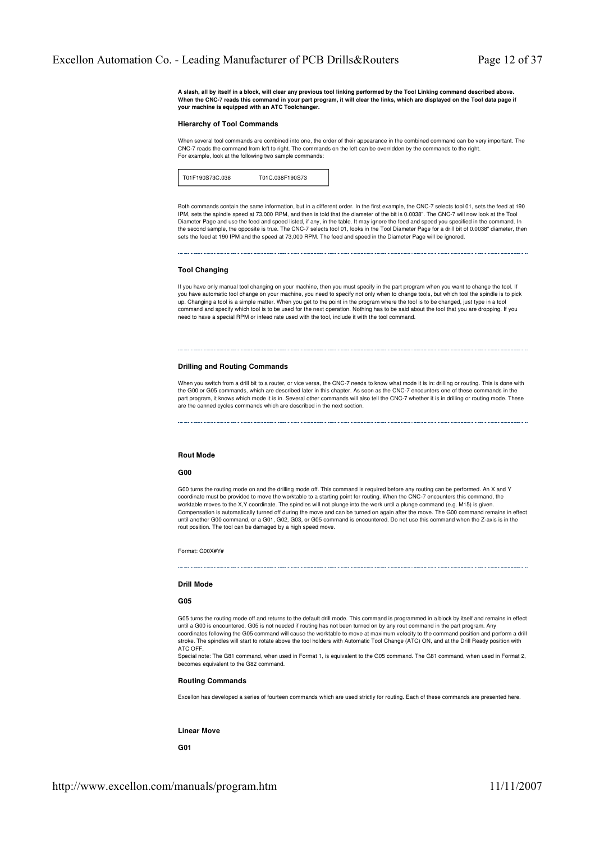**A slash, all by itself in a block, will clear any previous tool linking performed by the Tool Linking command described above. When the CNC-7 reads this command in your part program, it will clear the links, which are displayed on the Tool data page if your machine is equipped with an ATC Toolchanger.**

#### **Hierarchy of Tool Commands**

When several tool commands are combined into one, the order of their appearance in the combined command can be very important. The CNC-7 reads the command from left to right. The commands on the left can be overridden by the commands to the right. For example, look at the following two sample commands:

| T01F190S73C.038 | T01C.038F190S73 |
|-----------------|-----------------|
|-----------------|-----------------|

Both commands contain the same information, but in a different order. In the first example, the CNC-7 selects tool 01, sets the feed at 190 IPM, sets the spindle speed at 73,000 RPM, and then is told that the diameter of the bit is 0.0038". The CNC-7 will now look at the Tool Diameter Page and use the feed and speed listed, if any, in the table. It may ignore the feed and speed you specified in the command. In the second sample, the opposite is true. The CNC-7 selects tool 01, looks in the Tool Diameter Page for a drill bit of 0.0038" diameter, then sets the feed at 190 IPM and the speed at 73,000 RPM. The feed and speed in the Diameter Page will be ignored.

#### **Tool Changing**

If you have only manual tool changing on your machine, then you must specify in the part program when you want to change the tool. If you have automatic tool change on your machine, you need to specify not only when to change tools, but which tool the spindle is to pick up. Changing a tool is a simple matter. When you get to the point in the program where the tool is to be changed, just type in a tool command and specify which tool is to be used for the next operation. Nothing has to be said about the tool that you are dropping. If you need to have a special RPM or infeed rate used with the tool, include it with the tool command.

# **Drilling and Routing Commands**

When you switch from a drill bit to a router, or vice versa, the CNC-7 needs to know what mode it is in: drilling or routing. This is done with the G00 or G05 commands, which are described later in this chapter. As soon as the CNC-7 encounters one of these commands in the part program, it knows which mode it is in. Several other commands will also tell the CNC-7 whether it is in drilling or routing mode. These are the canned cycles commands which are described in the next section.

# **Rout Mode**

#### **G00**

G00 turns the routing mode on and the drilling mode off. This command is required before any routing can be performed. An X and Y coordinate must be provided to move the worktable to a starting point for routing. When the CNC-7 encounters this command, the coordinate must be provided to move the worktable to a starting point for routing. When the CNC worktable moves to the X,Y coordinate. The spindles will not plunge into the work until a plunge command (e.g. M15) is given. Compensation is automatically turned off during the move and can be turned on again after the move. The G00 command remains in effect until another G00 command, or a G01, G02, G03, or G05 command is encountered. Do not use this command when the Z-axis is in the rout position. The tool can be damaged by a high speed move.

Format: G00X#Y#

# **Drill Mode**

#### **G05**

G05 turns the routing mode off and returns to the default drill mode. This command is programmed in a block by itself and remains in effect until a G00 is encountered. G05 is not needed if routing has not been turned on by any rout command in the part program. Any coordinates following the G05 command will cause the worktable to move at maximum velocity to the command position and perform a drill stroke. The spindles will start to rotate above the tool holders with Automatic Tool Change (ATC) ON, and at the Drill Ready position with ATC OFF.

Special note: The G81 command, when used in Format 1, is equivalent to the G05 command. The G81 command, when used in Format 2, becomes equivalent to the G82 command.

# **Routing Commands**

Excellon has developed a series of fourteen commands which are used strictly for routing. Each of these commands are presented here.

#### **Linear Move**

**G01**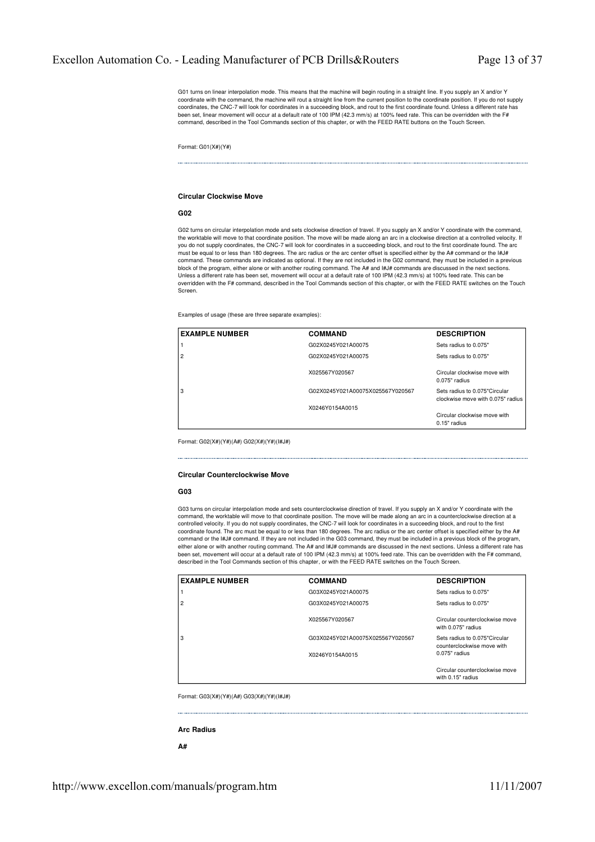G01 turns on linear interpolation mode. This means that the machine will begin routing in a straight line. If you supply an X and/or Y coordinate with the command, the machine will rout a straight line from the current position to the coordinate position. If you do not supply coordinates, the CNC-7 will look for coordinates in a succeeding block, and rout to the first coordinate found. Unless a different rate has been set, linear movement will occur at a default rate of 100 IPM (42.3 mm/s) at 100% feed rate. This can be overridden with the F# command, described in the Tool Commands section of this chapter, or with the FEED RATE buttons on the Touch Screen.

Format: G01(X#)(Y#)

#### **Circular Clockwise Move**

# **G02**

G02 turns on circular interpolation mode and sets clockwise direction of travel. If you supply an X and/or Y coordinate with the command, the worktable will move to that coordinate position. The move will be made along an arc in a clockwise direction at a controlled velocity. If you do not supply coordinates, the CNC-7 will look for coordinates in a succeeding block, and rout to the first coordinate found. The arc must be equal to or less than 180 degrees. The arc radius or the arc center offset is specified either by the A# command or the I#J# command. These commands are indicated as optional. If they are not included in the G02 command, they must be included in a previous block of the program, either alone or with another routing command. The A# and I#J# commands are discussed in the next sections.<br>Unless a different rate has been set, movement will occur at a default rate of 100 IPM (42.3 overridden with the F# command, described in the Tool Commands section of this chapter, or with the FEED RATE switches on the Touch Screen.

Examples of usage (these are three separate examples):

| <b>EXAMPLE NUMBER</b> | <b>COMMAND</b>                   | <b>DESCRIPTION</b>                                                 |
|-----------------------|----------------------------------|--------------------------------------------------------------------|
|                       | G02X0245Y021A00075               | Sets radius to 0.075"                                              |
| $\overline{2}$        | G02X0245Y021A00075               | Sets radius to 0.075"                                              |
|                       | X025567Y020567                   | Circular clockwise move with<br>$0.075"$ radius                    |
| 3                     | G02X0245Y021A00075X025567Y020567 | Sets radius to 0.075"Circular<br>clockwise move with 0.075" radius |
|                       | X0246Y0154A0015                  |                                                                    |
|                       |                                  | Circular clockwise move with<br>0.15" radius                       |

Format: G02(X#)(Y#)(A#) G02(X#)(Y#)(I#J#)

# **Circular Counterclockwise Move**

# **G03**

G03 turns on circular interpolation mode and sets counterclockwise direction of travel. If you supply an X and/or Y coordinate with the command, the worktable will move to that coordinate position. The move will be made along an arc in a counterclockwise direction at a controlled velocity. If you do not supply coordinates, the CNC-7 will look for coordinates in a succeeding block, and rout to the first coordinate found. The arc must be equal to or less than 180 degrees. The arc radius or the arc center offset is specified either by the A# command or the I#J# command. If they are not included in the G03 command, they must be included in a previous block of the program, either alone or with another routing command. The A# and I#J# commands are discussed in the next sections. Unless a different rate has been set, movement will occur at a default rate of 100 IPM (42.3 mm/s) at 100% feed rate. This can be overridden with the F# command, described in the Tool Commands section of this chapter, or with the FEED RATE switches on the Touch Screen.

| <b>EXAMPLE NUMBER</b> | <b>COMMAND</b>                   | <b>DESCRIPTION</b>                                          |
|-----------------------|----------------------------------|-------------------------------------------------------------|
|                       | G03X0245Y021A00075               | Sets radius to 0.075"                                       |
| 2                     | G03X0245Y021A00075               | Sets radius to 0.075"                                       |
|                       | X025567Y020567                   | Circular counterclockwise move<br>with 0.075" radius        |
| 3                     | G03X0245Y021A00075X025567Y020567 | Sets radius to 0.075"Circular<br>counterclockwise move with |
|                       | X0246Y0154A0015                  | $0.075"$ radius                                             |
|                       |                                  | Circular counterclockwise move<br>with 0.15" radius         |

Format: G03(X#)(Y#)(A#) G03(X#)(Y#)(I#J#)

#### **Arc Radius**

**A#**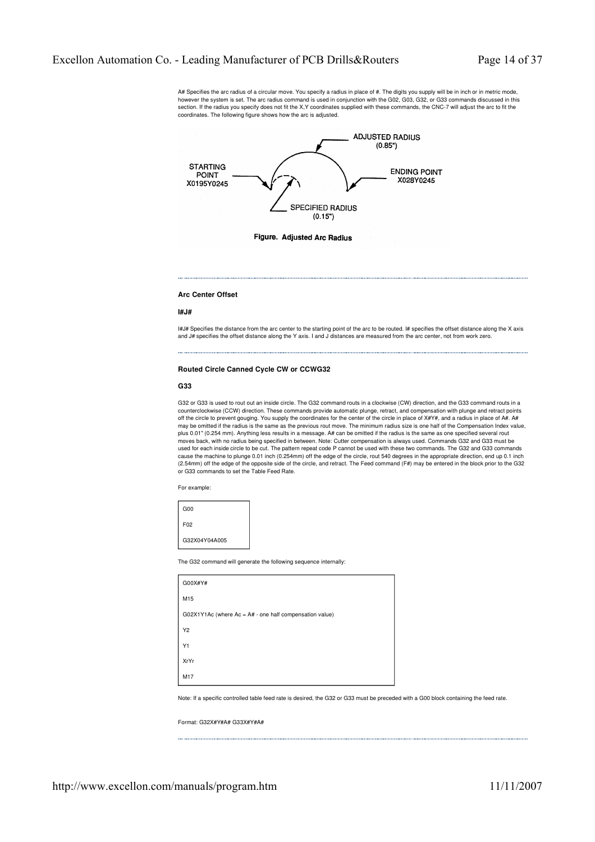A# Specifies the arc radius of a circular move. You specify a radius in place of #. The digits you supply will be in inch or in metric mode, however the system is set. The arc radius command is used in conjunction with the G02, G03, G32, or G33 commands discussed in this<br>section. If the radius you specify does not fit the X,Y coordinates supplied with these com coordinates. The following figure shows how the arc is adjusted.



#### **Arc Center Offset**

#### **I#J#**

I#J# Specifies the distance from the arc center to the starting point of the arc to be routed. I# specifies the offset distance along the X axis and J# specifies the offset distance along the Y axis. I and J distances are measured from the arc center, not from work zero.

# **Routed Circle Canned Cycle CW or CCWG32**

# **G33**

G32 or G33 is used to rout out an inside circle. The G32 command routs in a clockwise (CW) direction, and the G33 command routs in a counterclockwise (CCW) direction. These commands provide automatic plunge, retract, and compensation with plunge and retract points off the circle to prevent gouging. You supply the coordinates for the center of the circle in place of X#Y#, and a radius in place of A#. A# may be omitted if the radius is the same as the previous rout move. The minimum radius size is one half of the Compensation Index value, plus 0.01" (0.254 mm). Anything less results in a message. A# can be omitted if the radius is the same as one specified several rout moves back, with no radius being specified in between. Note: Cutter compensation is always used. Commands G32 and G33 must be used for each inside circle to be cut. The pattern repeat code P cannot be used with these two commands. The G32 and G33 commands cause the machine to plunge 0.01 inch (0.254mm) off the edge of the circle, rout 540 degrees in the appropriate direction, end up 0.1 inch (2.54mm) off the edge of the opposite side of the circle, and retract. The Feed command (F#) may be entered in the block prior to the G32 or G33 commands to set the Table Feed Rate.

For example:

| G <sub>00</sub> |
|-----------------|
| F <sub>02</sub> |
| G32X04Y04A005   |

The G32 command will generate the following sequence internally:

| G00X#Y#                                                   |
|-----------------------------------------------------------|
| M15                                                       |
| $GO2X1Y1Ac$ (where Ac = A# - one half compensation value) |
| Y2                                                        |
| Y1                                                        |
| XrYr                                                      |
| M17                                                       |

Note: If a specific controlled table feed rate is desired, the G32 or G33 must be preceded with a G00 block containing the feed rate.

Format: G32X#Y#A# G33X#Y#A#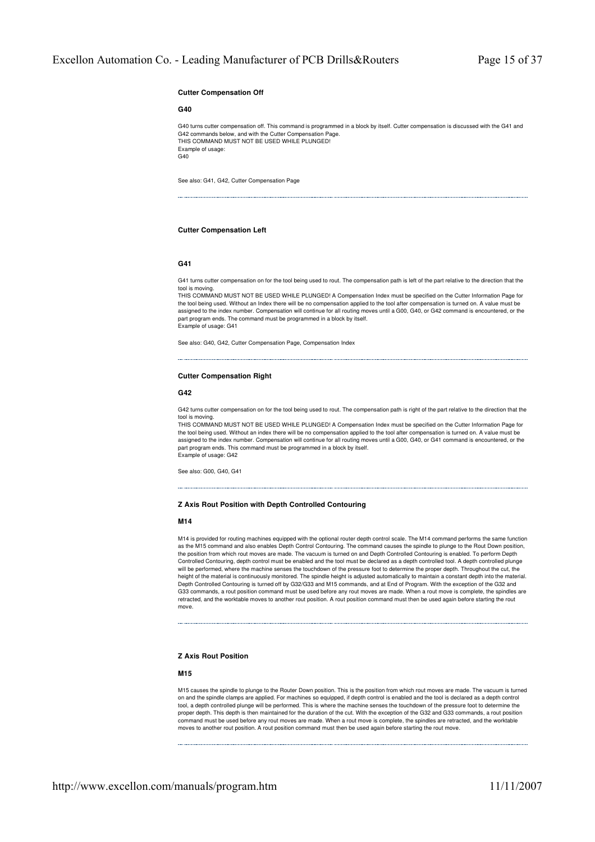# **Cutter Compensation Off**

#### **G40**

G40 turns cutter compensation off. This command is programmed in a block by itself. Cutter compensation is discussed with the G41 and G42 commands below, and with the Cutter Compensation Page. THIS COMMAND MUST NOT BE USED WHILE PLUNGED! Example of usage:  $G40$ 

See also: G41, G42, Cutter Compensation Page

# **Cutter Compensation Left**

#### **G41**

G41 turns cutter compensation on for the tool being used to rout. The compensation path is left of the part relative to the direction that the

tool is moving. THIS COMMAND MUST NOT BE USED WHILE PLUNGED! A Compensation Index must be specified on the Cutter Information Page for the tool being used. Without an Index there will be no compensation applied to the tool after compensation is turned on. A value must be assigned to the index number. Compensation will continue for all routing moves until a G00, G40, or G42 command is encountered, or the part program ends. The command must be programmed in a block by itself. Example of usage: G41

See also: G40, G42, Cutter Compensation Page, Compensation Index

# **Cutter Compensation Right**

# **G42**

G42 turns cutter compensation on for the tool being used to rout. The compensation path is right of the part relative to the direction that the

tool is moving. THIS COMMAND MUST NOT BE USED WHILE PLUNGED! A Compensation Index must be specified on the Cutter Information Page for the tool being used. Without an index there will be no compensation applied to the tool after compensation is turned on. A value must be assigned to the index number. Compensation will continue for all routing moves until a G00, G40, or G41 command is encountered, or the part program ends. This command must be programmed in a block by itself. Example of usage: G42

See also: G00, G40, G41

# **Z Axis Rout Position with Depth Controlled Contouring**

#### **M14**

M14 is provided for routing machines equipped with the optional router depth control scale. The M14 command performs the same function as the M15 command and also enables Depth Control Contouring. The command causes the spindle to plunge to the Rout Down position,<br>the position from which rout moves are made. The vacuum is turned on and Depth Controlled Co Controlled Contouring, depth control must be enabled and the tool must be declared as a depth controlled tool. A depth controlled plunge will be performed, where the machine senses the touchdown of the pressure foot to determine the proper depth. Throughout the cut, the height of the material is continuously monitored. The spindle height is adjusted automatically to maintain a constant depth into the material. Depth Controlled Contouring is turned off by G32/G33 and M15 commands, and at End of Program. With the exception of the G32 and G33 commands, a rout position command must be used before any rout moves are made. When a rout move is complete, the spindles are retracted, and the worktable moves to another rout position. A rout position command must then be used again before starting the rout move.

# **Z Axis Rout Position**

# **M15**

M15 causes the spindle to plunge to the Router Down position. This is the position from which rout moves are made. The vacuum is turned on and the spindle clamps are applied. For machines so equipped, if depth control is enabled and the tool is declared as a depth control tool, a depth controlled plunge will be performed. This is where the machine senses the touchdown of the pressure foot to determine the proper depth. This depth is then maintained for the duration of the cut. With the exception of the G32 and G33 commands, a rout position command must be used before any rout moves are made. When a rout move is complete, the spindles are retracted, and the worktable moves to another rout position. A rout position command must then be used again before starting the rout move.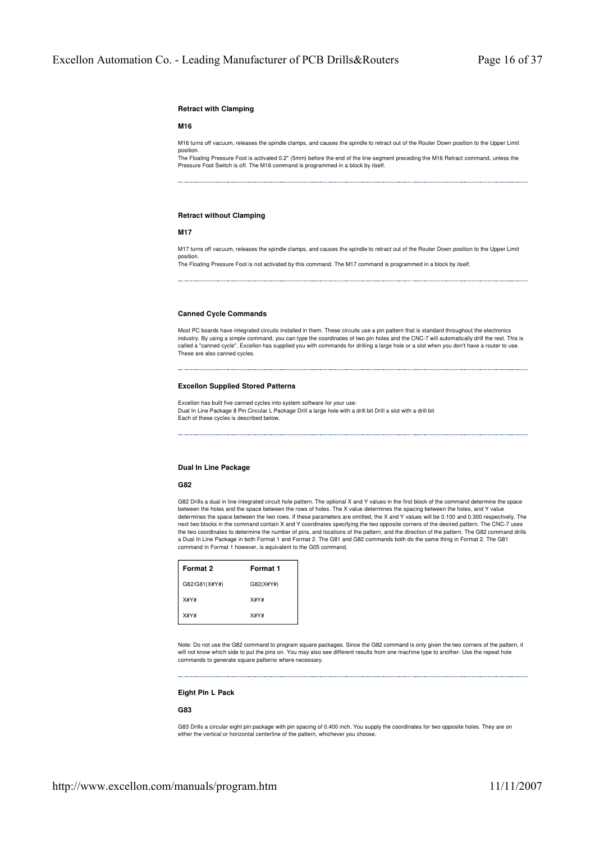# **Retract with Clamping**

# **M16**

M16 turns off vacuum, releases the spindle clamps, and causes the spindle to retract out of the Router Down position to the Upper Limit position.

The Floating Pressure Foot is activated 0.2" (5mm) before the end of the line segment preceding the M16 Retract command, unless the Pressure Foot Switch is off. The M16 command is programmed in a block by itself.

# **Retract without Clamping**

#### **M17**

M17 turns off vacuum, releases the spindle clamps, and causes the spindle to retract out of the Router Down position to the Upper Limit position.

The Floating Pressure Foot is not activated by this command. The M17 command is programmed in a block by itself.

#### **Canned Cycle Commands**

Most PC boards have integrated circuits installed in them. These circuits use a pin pattern that is standard throughout the electronics industry. By using a simple command, you can type the coordinates of two pin holes and the CNC-7 will automatically drill the rest. This is<br>called a "canned cycle". Excellon has supplied you with commands for drilling a la These are also canned cycles.

# **Excellon Supplied Stored Patterns**

Excellon has built five canned cycles into system software for your use: Dual In Line Package 8 Pin Circular L Package Drill a large hole with a drill bit Drill a slot with a drill bit Each of these cycles is described below.

# **Dual In Line Package**

# **G82**

G82 Drills a dual in line integrated circuit hole pattern. The optional X and Y values in the first block of the command determine the space between the holes and the space between the rows of holes. The X value determines the spacing between the holes, and Y value determines the space between the two rows. If these parameters are omitted, the X and Y values will be 0.100 and 0.300 respectively. The next two blocks in the command contain X and Y coordinates specifying the two opposite corners of the desired pattern. The CNC-7 uses the two coordinates to determine the number of pins, and locations of the pattern, and the direction of the pattern. The G82 command drills a Dual In Line Package in both Format 1 and Format 2. The G81 and G82 commands both do the same thing in Format 2. The G81 command in Format 1 however, is equivalent to the G05 command.

| Format 2      | Format 1  |
|---------------|-----------|
| G82/G81(X#Y#) | G82(X#Y#) |
| X#Y#          | X#Y#      |
| X#Y#          | X#Y#      |

Note: Do not use the G82 command to program square packages. Since the G82 command is only given the two corners of the pattern, it will not know which side to put the pins on. You may also see different results from one machine type to another. Use the repeat hole commands to generate square patterns where necessary.

# **Eight Pin L Pack**

# **G83**

G83 Drills a circular eight pin package with pin spacing of 0.400 inch. You supply the coordinates for two opposite holes. They are on either the vertical or horizontal centerline of the pattern, whichever you choose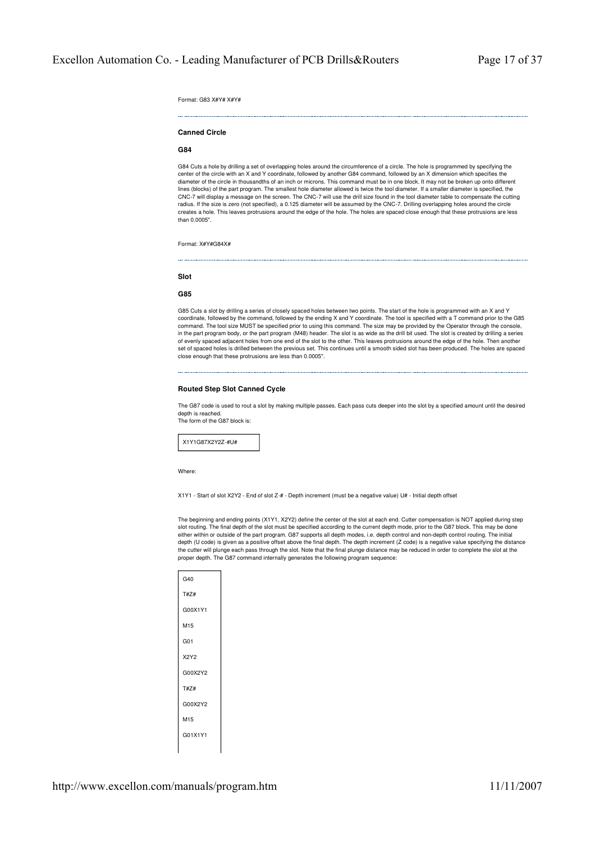Format: G83 X#Y# X#Y#

# **Canned Circle**

# **G84**

G84 Cuts a hole by drilling a set of overlapping holes around the circumference of a circle. The hole is programmed by specifying the center of the circle with an X and Y coordinate, followed by another G84 command, followed by an X dimension which specifies the diameter of the circle in thousandths of an inch or microns. This command must be in one block. It may not be broken up onto different lines (blocks) of the part program. The smallest hole diameter allowed is twice the tool diameter. If a smaller diameter is specified, the CNC-7 will display a message on the screen. The CNC-7 will use the drill size found in the tool diameter table to compensate the cutting radius. If the size is zero (not specified), a 0.125 diameter will be assumed by the CNC-7. Drilling overlapping holes around the circle creates a hole. This leaves protrusions around the edge of the hole. The holes are spaced close enough that these protrusions are less than 0.0005".

Format: X#Y#G84X#

# **Slot**

**G85**

G85 Cuts a slot by drilling a series of closely spaced holes between two points. The start of the hole is programmed with an X and Y coordinate, followed by the command, followed by the ending X and Y coordinate. The tool is specified with a T command prior to the G85 command. The tool size MUST be specified prior to using this command. The size may be provided by the Operator through the console, in the part program body, or the part program (M48) header. The slot is as wide as the drill bit used. The slot is created by drilling a series of evenly spaced adjacent holes from one end of the slot to the other. This leaves protrusions around the edge of the hole. Then another set of spaced holes is drilled between the previous set. This continues until a smooth sided slot has been produced. The holes are spaced close enough that these protrusions are less than 0.0005".

# **Routed Step Slot Canned Cycle**

The G87 code is used to rout a slot by making multiple passes. Each pass cuts deeper into the slot by a specified amount until the desired depth is reached. The form of the G87 block is:



Where

X1Y1 - Start of slot X2Y2 - End of slot Z-# - Depth increment (must be a negative value) U# - Initial depth offset

The beginning and ending points (X1Y1, X2Y2) define the center of the slot at each end. Cutter compensation is NOT applied during step slot routing. The final depth of the slot must be specified according to the current depth mode, prior to the G87 block. This may be done either within or outside of the part program. G87 supports all depth modes, i.e. depth control and non-depth control routing. The initial<br>depth (U code) is given as a positive offset above the final depth. The depth increm the cutter will plunge each pass through the slot. Note that the final plunge distance may be reduced in order to complete the slot at the proper depth. The G87 command internally generates the following program sequence:

| G40             |
|-----------------|
| T#Z#            |
| G00X1Y1         |
| M <sub>15</sub> |
| G <sub>01</sub> |
| <b>X2Y2</b>     |
| G00X2Y2         |
| T#Z#            |
| G00X2Y2         |
| M <sub>15</sub> |
| G01X1Y1         |
|                 |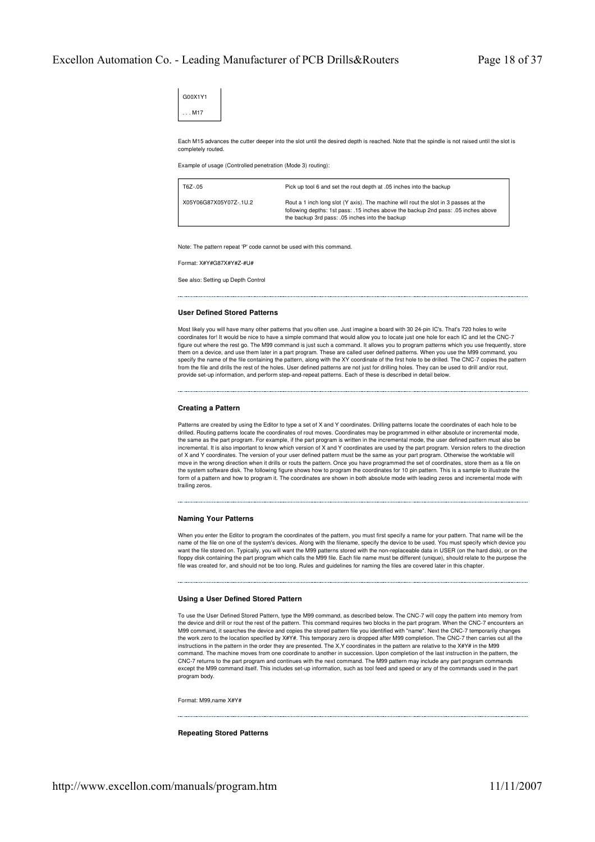G00X1Y1 . . . M17

Each M15 advances the cutter deeper into the slot until the desired depth is reached. Note that the spindle is not raised until the slot is completely routed.

Example of usage (Controlled penetration (Mode 3) routing):

| T6Z-.05                | Pick up tool 6 and set the rout depth at .05 inches into the backup                                                                                                                                                          |
|------------------------|------------------------------------------------------------------------------------------------------------------------------------------------------------------------------------------------------------------------------|
| X05Y06G87X05Y07Z-.1U.2 | Rout a 1 inch long slot (Y axis). The machine will rout the slot in 3 passes at the<br>following depths: 1st pass: .15 inches above the backup 2nd pass: .05 inches above<br>the backup 3rd pass: .05 inches into the backup |

Note: The pattern repeat 'P' code cannot be used with this command.

Format: X#Y#G87X#Y#Z-#I I#

See also: Setting up Depth Control

#### **User Defined Stored Patterns**

Most likely you will have many other patterns that you often use. Just imagine a board with 30 24-pin IC's. That's 720 holes to write coordinates for! It would be nice to have a simple command that would allow you to locate just one hole for each IC and let the CNC-7 figure out where the rest go. The M99 command is just such a command. It allows you to program patterns which you use frequently, store them on a device, and use them later in a part program. These are called user defined patterns. When you use the M99 command, you specify the name of the file containing the pattern, along with the XY coordinate of the first hole to be drilled. The CNC-7 copies the pattern from the file and drills the rest of the holes. User defined patterns are not just for drilling holes. They can be used to drill and/or rout, provide set-up information, and perform step-and-repeat patterns. Each of these is described in detail below.

#### **Creating a Pattern**

Patterns are created by using the Editor to type a set of X and Y coordinates. Drilling patterns locate the coordinates of each hole to be drilled. Routing patterns locate the coordinates of rout moves. Coordinates may be programmed in either absolute or incremental mode the same as the part program. For example, if the part program is written in the incremental mode, the user defined pattern must also be incremental. It is also important to know which version of X and Y coordinates are used by the part program. Version refers to the direction of X and Y coordinates. The version of your user defined pattern must be the same as your part program. Otherwise the worktable will move in the wrong direction when it drills or routs the pattern. Once you have programmed the set of coordinates, store them as a file on the system software disk. The following figure shows how to program the coordinates for 10 pin pattern. This is a sample to illustrate the form of a pattern and how to program it. The coordinates are shown in both absolute mode with leading zeros and incremental mode with trailing zeros.

# **Naming Your Patterns**

When you enter the Editor to program the coordinates of the pattern, you must first specify a name for your pattern. That name will be the name of the file on one of the system's devices. Along with the filename, specify the device to be used. You must specify which device you want the file stored on. Typically, you will want the M99 patterns stored with the non-replaceable data in USER (on the hard disk), or on the floppy disk containing the part program which calls the M99 file. Each file name must be different (unique), should relate to the purpose the file was created for, and should not be too long. Rules and guidelines for naming the files are covered later in this chapter.

#### **Using a User Defined Stored Pattern**

To use the User Defined Stored Pattern, type the M99 command, as described below. The CNC-7 will copy the pattern into memory from the device and drill or rout the rest of the pattern. This command requires two blocks in the part program. When the CNC-7 encounters an M99 command, it searches the device and copies the stored pattern file you identified with "name". Next the CNC-7 temporarily changes the work zero to the location specified by X#Y#. This temporary zero is dropped after M99 completion. The CNC-7 then carries out all the instructions in the pattern in the order they are presented. The X,Y coordinates in the pattern are relative to the X#Y# in the M99 mand. The machine moves from one coordinate to another in succession. Upon completion of the last instruction in the pattern, the CNC-7 returns to the part program and continues with the next command. The M99 pattern may include any part program commands except the M99 command itself. This includes set-up information, such as tool feed and speed or any of the commands used in the part program body.

Format: M99,name X#Y#

#### **Repeating Stored Patterns**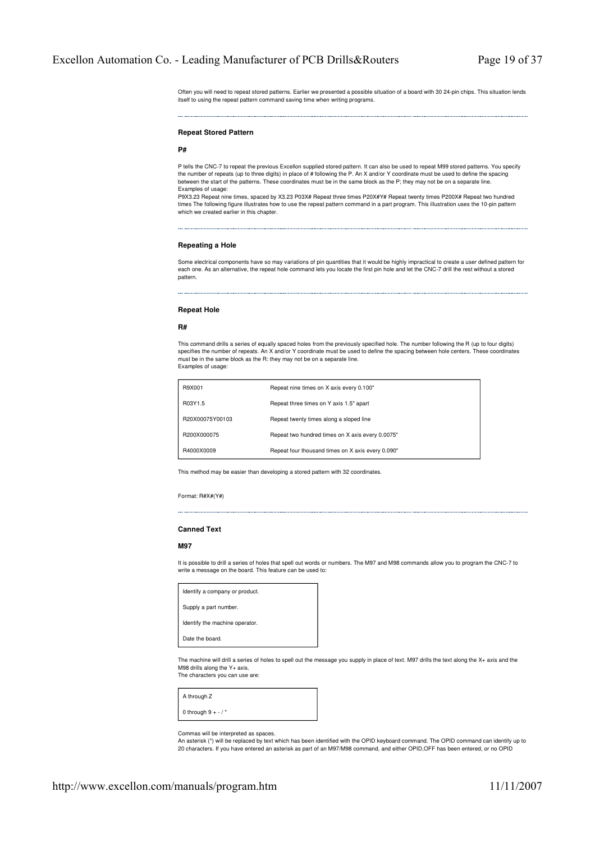Often you will need to repeat stored patterns. Earlier we presented a possible situation of a board with 30 24-pin chips. This situation lends itself to using the repeat pattern command saving time when writing programs.

#### **Repeat Stored Pattern**

#### **P#**

P tells the CNC-7 to repeat the previous Excellon supplied stored pattern. It can also be used to repeat M99 stored patterns. You specify the number of repeats (up to three digits) in place of # following the P. An X and/or Y coordinate must be used to define the spacing between the start of the patterns. These coordinates must be in the same block as the P; they may not be on a separate line. Examples of usage:

P9X3.23 Repeat nine times, spaced by X3.23 P03X# Repeat three times P20X#Y# Repeat twenty times P200X# Repeat two hundred times The following figure illustrates how to use the repeat pattern command in a part program. This illustration uses the 10-pin pattern which we created earlier in this chapter.

# **Repeating a Hole**

Some electrical components have so may variations of pin quantities that it would be highly impractical to create a user defined pattern for each one. As an alternative, the repeat hole command lets you locate the first pin hole and let the CNC-7 drill the rest without a stored pattern.

#### **Repeat Hole**

#### **R#**

This command drills a series of equally spaced holes from the previously specified hole. The number following the R (up to four digits) specifies the number of repeats. An X and/or Y coordinate must be used to define the spacing between hole centers. These coordinates must be in the same block as the R: they may not be on a separate line. Examples of usage:

| R9X001          | Repeat nine times on X axis every 0.100"          |
|-----------------|---------------------------------------------------|
| R03Y1.5         | Repeat three times on Y axis 1.5" apart           |
| R20X00075Y00103 | Repeat twenty times along a sloped line           |
| B200X000075     | Repeat two hundred times on X axis every 0.0075"  |
| R4000X0009      | Repeat four thousand times on X axis every 0.090" |

This method may be easier than developing a stored pattern with 32 coordinates.

Format: R#X#(Y#)

#### **Canned Text**

# **M97**

It is possible to drill a series of holes that spell out words or numbers. The M97 and M98 commands allow you to program the CNC-7 to write a message on the board. This feature can be used to:

| Identify a company or product. |
|--------------------------------|
| Supply a part number.          |
| Identify the machine operator. |
| Date the board.                |
|                                |

The machine will drill a series of holes to spell out the message you supply in place of text. M97 drills the text along the X+ axis and the M98 drills along the Y+ axis. The characters you can use are:

| A through Z          |  |
|----------------------|--|
| 0 through $9 + -$ /* |  |

Commas will be interpreted as spaces.

An asterisk (\*) will be replaced by text which has been identified with the OPID keyboard command. The OPID command can identify up to 20 characters. If you have entered an asterisk as part of an M97/M98 command, and either OPID,OFF has been entered, or no OPID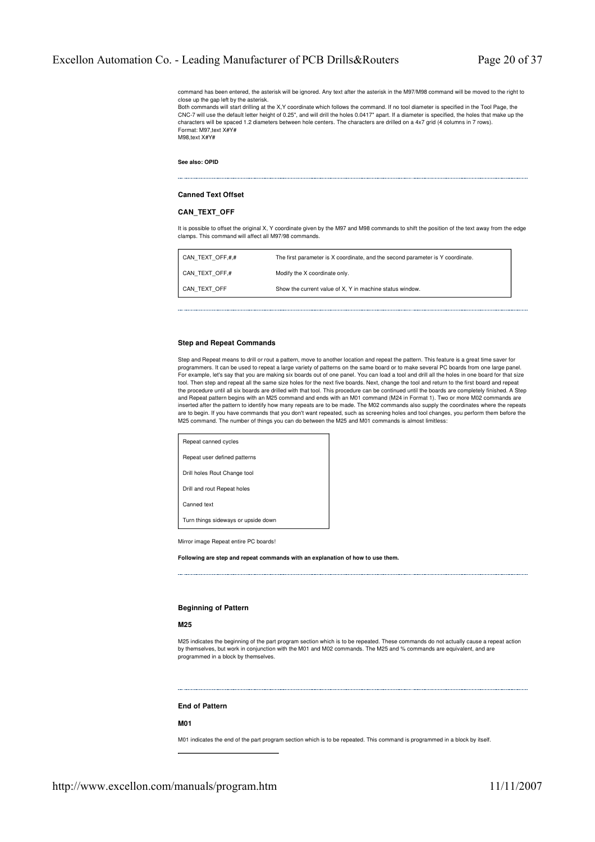command has been entered, the asterisk will be ignored. Any text after the asterisk in the M97/M98 command will be moved to the right to close up the gap left by the asterisk.

Both commands will start drilling at the X,Y coordinate which follows the command. If no tool diameter is specified in the Tool Page, the CNC-7 will use the default letter height of 0.25", and will drill the holes 0.0417" apart. If a diameter is specified, the holes that make up the characters will be spaced 1.2 diameters between hole centers. The characters are drilled on a 4x7 grid (4 columns in 7 rows). Format: M97,text X#Y# M98,text X#Y#

**See also: OPID**

# **Canned Text Offset**

# **CAN\_TEXT\_OFF**

It is possible to offset the original X, Y coordinate given by the M97 and M98 commands to shift the position of the text away from the edge clamps. This command will affect all M97/98 commands.

| CAN TEXT OFF,#,# | The first parameter is X coordinate, and the second parameter is Y coordinate. |
|------------------|--------------------------------------------------------------------------------|
| CAN TEXT OFF,#   | Modify the X coordinate only.                                                  |
| CAN TEXT OFF     | Show the current value of X, Y in machine status window.                       |

# **Step and Repeat Commands**

Step and Repeat means to drill or rout a pattern, move to another location and repeat the pattern. This feature is a great time saver for programmers. It can be used to repeat a large variety of patterns on the same board or to make several PC boards from one large panel. For example, let's say that you are making six boards out of one panel. You can load a tool and drill all the holes in one board for that size tool. Then step and repeat all the same size holes for the next five boards. Next, change the tool and return to the first board and repeat the procedure until all six boards are drilled with that tool. This procedure can be continued until the boards are completely finished. A Step and Repeat pattern begins with an M25 command and ends with an M01 command (M24 in Format 1). Two or more M02 commands are inserted after the pattern to identify how many repeats are to be made. The M02 commands also supply the coordinates where the repeats<br>are to begin. If you have commands that you don't want repeated, such as screening hole M25 command. The number of things you can do between the M25 and M01 commands is almost limitless:

| Repeat canned cycles                |
|-------------------------------------|
| Repeat user defined patterns        |
| Drill holes Rout Change tool        |
| Drill and rout Repeat holes         |
| Canned text                         |
| Turn things sideways or upside down |
|                                     |

Mirror image Repeat entire PC boards!

**Following are step and repeat commands with an explanation of how to use them.**

# **Beginning of Pattern**

# **M25**

M25 indicates the beginning of the part program section which is to be repeated. These commands do not actually cause a repeat action by themselves, but work in conjunction with the M01 and M02 commands. The M25 and % commands are equivalent, and are programmed in a block by themselves.

#### **End of Pattern**

#### **M01**

M01 indicates the end of the part program section which is to be repeated. This command is programmed in a block by itself.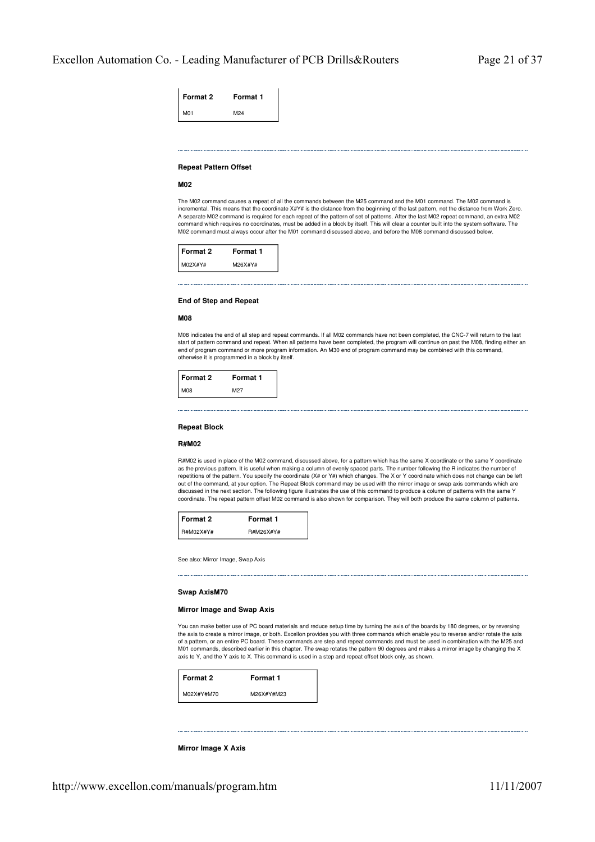| Format 2        | <b>Format 1</b> |
|-----------------|-----------------|
| M <sub>01</sub> | M24             |

# **Repeat Pattern Offset**

#### **M02**

The M02 command causes a repeat of all the commands between the M25 command and the M01 command. The M02 command is incremental. This means that the coordinate X#Y# is the distance from the beginning of the last pattern, not the distance from Work Zero. A separate M02 command is required for each repeat of the pattern of set of patterns. After the last M02 repeat command, an extra M02 command which requires no coordinates, must be added in a block by itself. This will clear a counter built into the system software. The M02 command must always occur after the M01 command discussed above, and before the M08 command discussed below.

| l Format 2 | Format 1 |
|------------|----------|
| M02X#Y#    | M26X#Y#  |

# **End of Step and Repeat**

# **M08**

M08 indicates the end of all step and repeat commands. If all M02 commands have not been completed, the CNC-7 will return to the last start of pattern command and repeat. When all patterns have been completed, the program will continue on past the M08, finding either an end of program command or more program information. An M30 end of program command may be combined with this command, otherwise it is programmed in a block by itself.

| Format 2 | Format 1 |
|----------|----------|
| M08      | M27      |

#### **Repeat Block**

# **R#M02**

R#M02 is used in place of the M02 command, discussed above, for a pattern which has the same X coordinate or the same Y coordinate as the previous pattern. It is useful when making a column of evenly spaced parts. The number following the R indicates the number of repetitions of the pattern. You specify the coordinate (X# or Y#) which changes. The X or Y coordinate which does not change can be left out of the command, at your option. The Repeat Block command may be used with the mirror image or swap axis commands which are discussed in the next section. The following figure illustrates the use of this command to produce a column of patterns with the same Y coordinate. The repeat pattern offset M02 command is also shown for comparison. They will both produce the same column of patterns.

| l Format 2 | Format 1  |
|------------|-----------|
| R#M02X#Y#  | R#M26X#Y# |

See also: Mirror Image, Swap Axis

#### **Swap AxisM70**

#### **Mirror Image and Swap Axis**

You can make better use of PC board materials and reduce setup time by turning the axis of the boards by 180 degrees, or by reversing the axis to create a mirror image, or both. Excellon provides you with three commands which enable you to reverse and/or rotate the axis of a pattern, or an entire PC board. These commands are step and repeat commands and must be used in combination with the M25 and M01 commands, described earlier in this chapter. The swap rotates the pattern 90 degrees and makes a mirror image by changing the X axis to Y, and the Y axis to X. This command is used in a step and repeat offset block only, as shown.

| Format 2   | Format 1   |
|------------|------------|
| M02X#Y#M70 | M26X#Y#M23 |

#### **Mirror Image X Axis**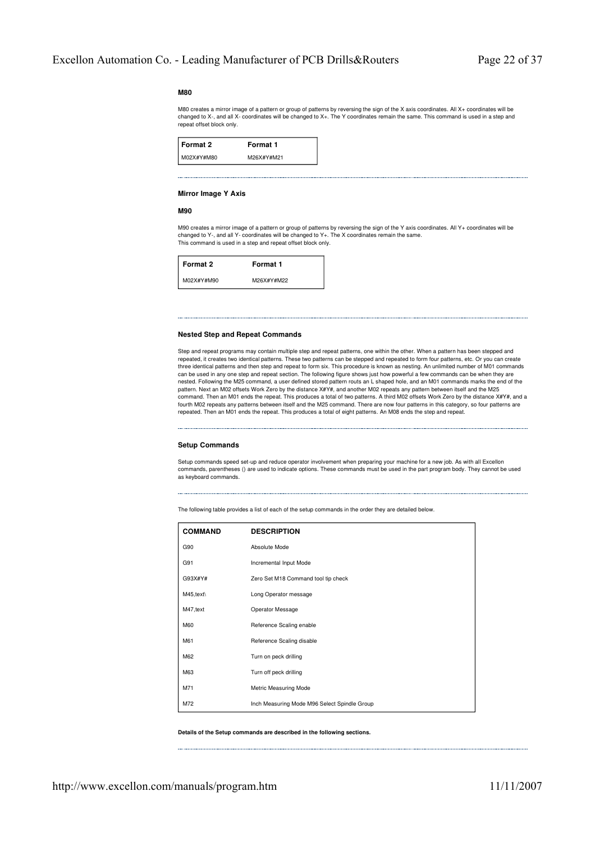# **M80**

M80 creates a mirror image of a pattern or group of patterns by reversing the sign of the X axis coordinates. All X+ coordinates will be changed to X-, and all X- coordinates will be changed to X+. The Y coordinates remain the same. This command is used in a step and repeat offset block only.

| Format 2   | Format 1   |
|------------|------------|
| M02X#Y#M80 | M26X#Y#M21 |

# **Mirror Image Y Axis**

# **M90**

M90 creates a mirror image of a pattern or group of patterns by reversing the sign of the Y axis coordinates. All Y+ coordinates will be changed to Y-, and all Y- coordinates will be changed to Y+. The X coordinates remain the same. This command is used in a step and repeat offset block only.

| Format 2   | Format 1   |
|------------|------------|
| M02X#Y#M90 | M26X#Y#M22 |

# **Nested Step and Repeat Commands**

Step and repeat programs may contain multiple step and repeat patterns, one within the other. When a pattern has been stepped and repeated, it creates two identical patterns. These two patterns can be stepped and repeated to form four patterns, etc. Or you can create three identical patterns and then step and repeat to form six. This procedure is known as nesting. An unlimited number of M01 commands can be used in any one step and repeat section. The following figure shows just how powerful a few commands can be when they are nested. Following the M25 command, a user defined stored pattern routs an L shaped hole, and an M01 commands marks the end of the pattern. Next an M02 offsets Work Zero by the distance X#Y#, and another M02 repeats any pattern between itself and the M25 command. Then an M01 ends the repeat. This produces a total of two patterns. A third M02 offsets Work Zero by the distance X#Y#, and a fourth M02 repeats any patterns between itself and the M25 command. There are now four patterns in this category, so four patterns are repeated. Then an M01 ends the repeat. This produces a total of eight patterns. An M08 ends the step and repeat.

#### **Setup Commands**

Setup commands speed set-up and reduce operator involvement when preparing your machine for a new job. As with all Excellon commands, parentheses () are used to indicate options. These commands must be used in the part program body. They cannot be used as keyboard commands.

The following table provides a list of each of the setup commands in the order they are detailed below.

| <b>COMMAND</b> | <b>DESCRIPTION</b>                           |
|----------------|----------------------------------------------|
| G90            | Absolute Mode                                |
| G91            | Incremental Input Mode                       |
| G93X#Y#        | Zero Set M18 Command tool tip check          |
| M45, text\     | Long Operator message                        |
| M47, text      | Operator Message                             |
| M60            | Reference Scaling enable                     |
| M61            | Reference Scaling disable                    |
| M62            | Turn on peck drilling                        |
| M63            | Turn off peck drilling                       |
| M71            | Metric Measuring Mode                        |
| M72            | Inch Measuring Mode M96 Select Spindle Group |

**Details of the Setup commands are described in the following sections.**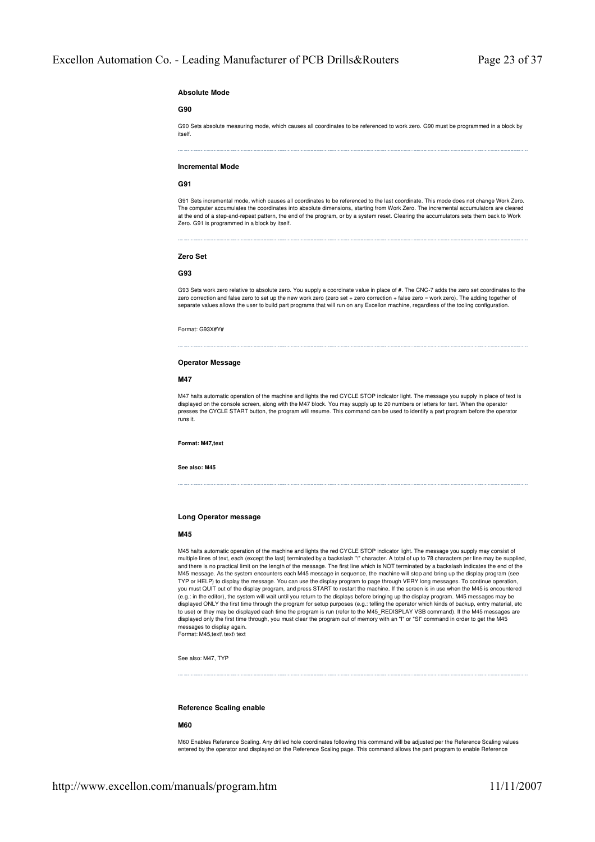# **Absolute Mode**

#### **G90**

G90 Sets absolute measuring mode, which causes all coordinates to be referenced to work zero. G90 must be programmed in a block by itself.

#### **Incremental Mode**

#### **G91**

G91 Sets incremental mode, which causes all coordinates to be referenced to the last coordinate. This mode does not change Work Zero. The computer accumulates the coordinates into absolute dimensions, starting from Work Zero. The incremental accumulators are cleared at the end of a step-and-repeat pattern, the end of the program, or by a system reset. Clearing the accumulators sets them back to Work Zero. G91 is programmed in a block by itself.

# **Zero Set**

# **G93**

G93 Sets work zero relative to absolute zero. You supply a coordinate value in place of #. The CNC-7 adds the zero set coordinates to the zero correction and false zero to set up the new work zero (zero set + zero correction + false zero = work zero). The adding together of separate values allows the user to build part programs that will run on any Excellon machine, regardless of the tooling configuration.

Format: G93X#Y#

#### **Operator Message**

#### **M47**

M47 halts automatic operation of the machine and lights the red CYCLE STOP indicator light. The message you supply in place of text is displayed on the console screen, along with the M47 block. You may supply up to 20 numbers or letters for text. When the operator presses the CYCLE START button, the program will resume. This command can be used to identify a part program before the operator runs it.

**Format: M47,text**

**See also: M45**

# **Long Operator message**

# **M45**

M45 halts automatic operation of the machine and lights the red CYCLE STOP indicator light. The message you supply may consist of multiple lines of text, each (except the last) terminated by a backslash "\" character. A total of up to 78 characters per line may be supplied, and there is no practical limit on the length of the message. The first line which is NOT terminated by a backslash indicates the end of the M45 message. As the system encounters each M45 message in sequence, the machine will stop and bring up the display program (see TYP or HELP) to display the message. You can use the display program to page through VERY long messages. To continue operation, you must QUIT out of the display program, and press START to restart the machine. If the screen is in use when the M45 is encountered (e.g.: in the editor), the system will wait until you return to the displays before bringing up the display program. M45 messages may be displayed ONLY the first time through the program for setup purposes (e.g.: telling the operator which kinds of backup, entry material, etc to use) or they may be displayed each time the program is run (refer to the M45\_REDISPLAY VSB command). If the M45 messages are displayed only the first time through, you must clear the program out of memory with an "I" or "SI" command in order to get the M45 messages to display again. Format: M45,text\ text\ text

See also: M47, TYP

#### **Reference Scaling enable**

# **M60**

M60 Enables Reference Scaling. Any drilled hole coordinates following this command will be adjusted per the Reference Scaling values entered by the operator and displayed on the Reference Scaling page. This command allows the part program to enable Reference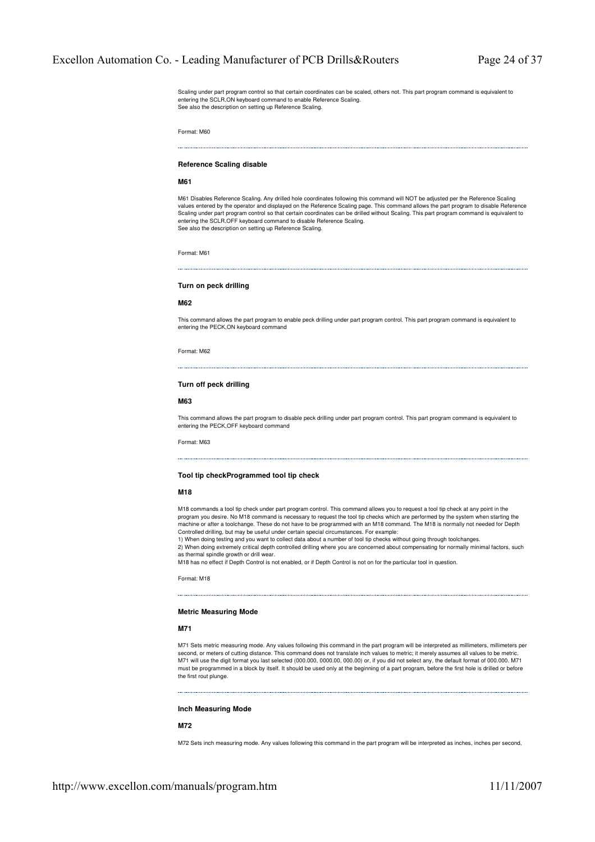Scaling under part program control so that certain coordinates can be scaled, others not. This part program command is equivalent to entering the SCLR,ON keyboard command to enable Reference Scaling. See also the description on setting up Reference Scaling.

Format: M60

#### **Reference Scaling disable**

# **M61**

M61 Disables Reference Scaling. Any drilled hole coordinates following this command will NOT be adjusted per the Reference Scaling<br>values entered by the operator and displayed on the Reference Scaling page. This command al Scaling under part program control so that certain coordinates can be drilled without Scaling. This part program command is equivalent to entering the SCLR,OFF keyboard command to disable Reference Scaling. See also the description on setting up Reference Scaling.

Format: M61

# **Turn on peck drilling**

# **M62**

This command allows the part program to enable peck drilling under part program control. This part program command is equivalent to entering the PECK,ON keyboard command

Format: M62

# **Turn off peck drilling**

#### **M63**

This command allows the part program to disable peck drilling under part program control. This part program command is equivalent to entering the PECK,OFF keyboard command

Format: M63

# **Tool tip checkProgrammed tool tip check**

# **M18**

M18 commands a tool tip check under part program control. This command allows you to request a tool tip check at any point in the program you desire. No M18 command is necessary to request the tool tip checks which are performed by the system when starting the machine or after a toolchange. These do not have to be programmed with an M18 command. The M18 is normally not needed for Depth Controlled drilling, but may be useful under certain special circumstances. For example:

1) When doing testing and you want to collect data about a number of tool tip checks without going through toolchanges.

2) When doing extremely critical depth controlled drilling where you are concerned about compensating for normally minimal factors, such as thermal spindle growth or drill wear.

M18 has no effect if Depth Control is not enabled, or if Depth Control is not on for the particular tool in question.

Format: M18

# **Metric Measuring Mode**

# **M71**

M71 Sets metric measuring mode. Any values following this command in the part program will be interpreted as millimeters, millimeters per second, or meters of cutting distance. This command does not translate inch values to metric; it merely assumes all values to be metric M71 will use the digit format you last selected (000.000, 0000.00, 000.00) or, if you did not select any, the default format of 000.000. M71 must be programmed in a block by itself. It should be used only at the beginning of a part program, before the first hole is drilled or before the first rout plunge.

#### **Inch Measuring Mode**

# **M72**

M72 Sets inch measuring mode. Any values following this command in the part program will be interpreted as inches, inches per second,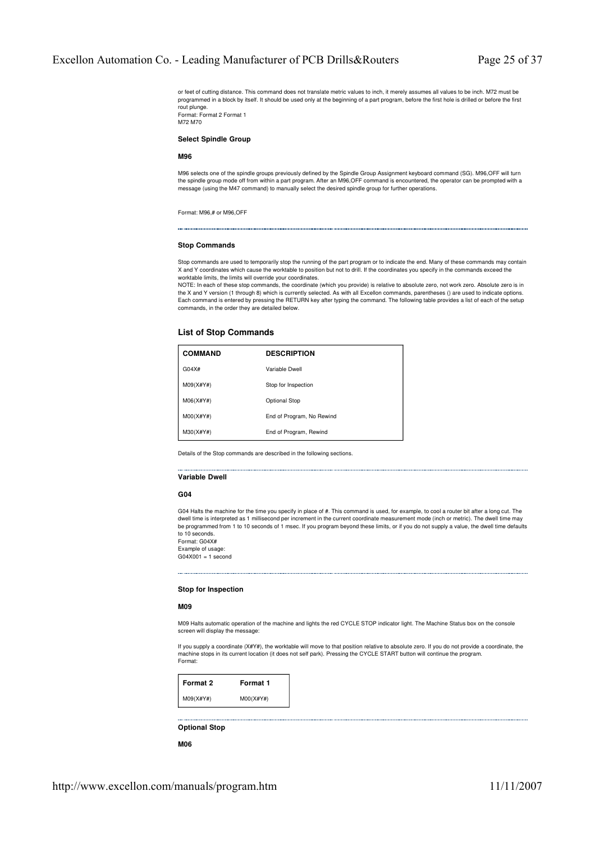or feet of cutting distance. This command does not translate metric values to inch, it merely assumes all values to be inch. M72 must be programmed in a block by itself. It should be used only at the beginning of a part program, before the first hole is drilled or before the first rout plunge. Format: Format 2 Format 1

**Select Spindle Group**

#### **M96**

M72 M70

M96 selects one of the spindle groups previously defined by the Spindle Group Assignment keyboard command (SG). M96,OFF will turn the spindle group mode off from within a part program. After an M96,OFF command is encountered, the operator can be prompted with a<br>message (using the M47 command) to manually select the desired spindle group for further o

Format: M96,# or M96,OFF

# **Stop Commands**

Stop commands are used to temporarily stop the running of the part program or to indicate the end. Many of these commands may contain<br>X and Y coordinates which cause the worktable to position but not to drill. If the coord worktable limits, the limits will override your coordinates.

NOTE: In each of these stop commands, the coordinate (which you provide) is relative to absolute zero, not work zero. Absolute zero is in the X and Y version (1 through 8) which is currently selected. As with all Excellon commands, parentheses () are used to indicate options. Each command is entered by pressing the RETURN key after typing the command. The following table provides a list of each of the setup commands, in the order they are detailed below.

# **List of Stop Commands**

| <b>COMMAND</b> | <b>DESCRIPTION</b>        |
|----------------|---------------------------|
| G04X#          | Variable Dwell            |
| M09(X#Y#)      | Stop for Inspection       |
| M06(X#Y#)      | Optional Stop             |
| $M00(X\#Y\#)$  | End of Program, No Rewind |
| M30(X#Y#)      | End of Program, Rewind    |

Details of the Stop commands are described in the following sections.

# **Variable Dwell**

# **G04**

G04 Halts the machine for the time you specify in place of #. This command is used, for example, to cool a router bit after a long cut. The dwell time is interpreted as 1 millisecond per increment in the current coordinate measurement mode (inch or metric). The dwell time may be programmed from 1 to 10 seconds of 1 msec. If you program beyond these limits, or if you do not supply a value, the dwell time defaults to 10 seconds.

Format: G04X# Example of usage:  $G04X001 = 1$  second

#### **Stop for Inspection**

# **M09**

M09 Halts automatic operation of the machine and lights the red CYCLE STOP indicator light. The Machine Status box on the console screen will display the message:

If you supply a coordinate (X#Y#), the worktable will move to that position relative to absolute zero. If you do not provide a coordinate, the machine stops in its current location (it does not self park). Pressing the CYCLE START button will continue the program. Format:

| Format 2  | Format 1      |
|-----------|---------------|
| M09(X#Y#) | $MOO(X\#Y\#)$ |

**Optional Stop**

**M06**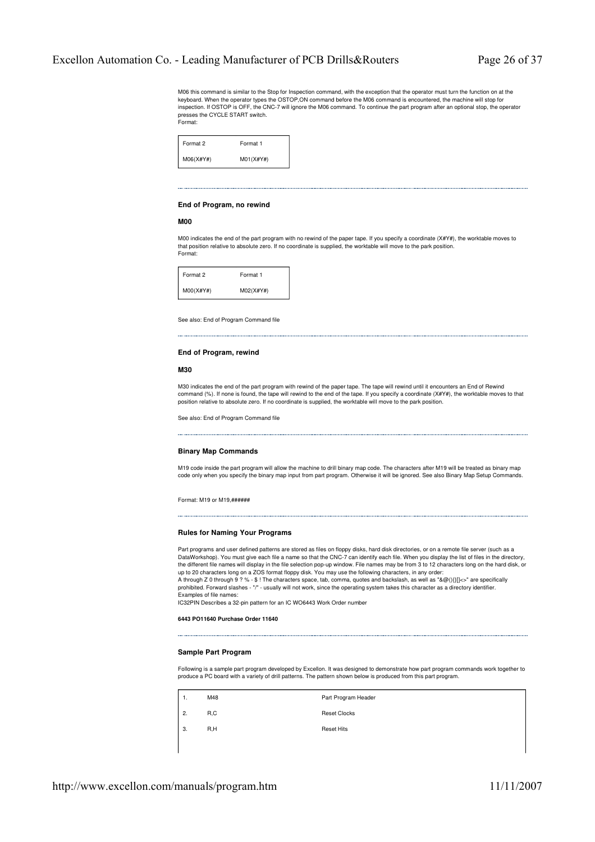M06 this command is similar to the Stop for Inspection command, with the exception that the operator must turn the function on at the keyboard. When the operator types the OSTOP,ON command before the M06 command is encountered, the machine will stop for inspection. If OSTOP is OFF, the CNC-7 will ignore the M06 command. To continue the part program after an optional stop, the operator presses the CYCLE START switch. Format:

| Format 2  | Format 1  |
|-----------|-----------|
| M06(X#Y#) | M01(X#Y#) |

# **End of Program, no rewind**

**M00**

M00 indicates the end of the part program with no rewind of the paper tape. If you specify a coordinate (X#Y#), the worktable moves to that position relative to absolute zero. If no coordinate is supplied, the worktable will move to the park position. Format:



See also: End of Program Command file

#### **End of Program, rewind**

# **M30**

M30 indicates the end of the part program with rewind of the paper tape. The tape will rewind until it encounters an End of Rewind command (%). If none is found, the tape will rewind to the end of the tape. If you specify a coordinate (X#Y#), the worktable moves to that position relative to absolute zero. If no coordinate is supplied, the worktable will move to the park position.

See also: End of Program Command file

#### **Binary Map Commands**

M19 code inside the part program will allow the machine to drill binary map code. The characters after M19 will be treated as binary map code only when you specify the binary map input from part program. Otherwise it will be ignored. See also Binary Map Setup Commands.

Format: M19 or M19,######

# **Rules for Naming Your Programs**

Part programs and user defined patterns are stored as files on floppy disks, hard disk directories, or on a remote file server (such as a DataWorkshop). You must give each file a name so that the CNC-7 can identify each file. When you display the list of files in the directory,<br>the different file names will display in the file selection pop-up window. File up to 20 characters long on a ZOS format floppy disk. You may use the following characters, in any order: A through Z 0 through 9 ? % - \$ ! The characters space, tab, comma, quotes and backslash, as well as "&@(){}[|<>" are specifically<br>prohibited. Forward slashes - "/" - usually will not work, since the operating system take Examples of file names:

IC32PIN Describes a 32-pin pattern for an IC WO6443 Work Order number

**6443 PO11640 Purchase Order 11640**

#### **Sample Part Program**

Following is a sample part program developed by Excellon. It was designed to demonstrate how part program commands work together to produce a PC board with a variety of drill patterns. The pattern shown below is produced from this part program.

| 1. | M48 | Part Program Header |
|----|-----|---------------------|
| 2. | R.C | <b>Reset Clocks</b> |
| 3. | R.H | <b>Reset Hits</b>   |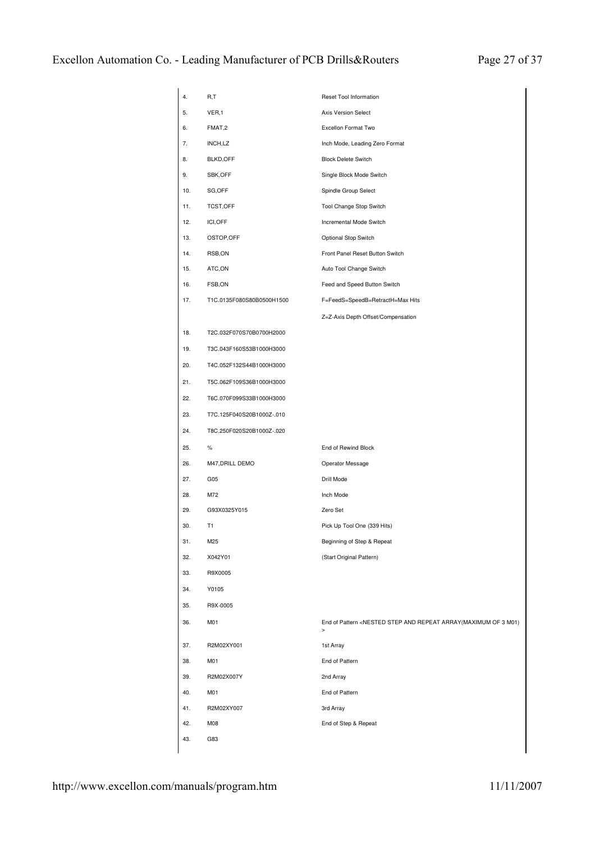| 4.  | R,T                       | Reset Tool Information                                                                                                                |
|-----|---------------------------|---------------------------------------------------------------------------------------------------------------------------------------|
| 5.  | VER,1                     | Axis Version Select                                                                                                                   |
| 6.  | FMAT,2                    | Excellon Format Two                                                                                                                   |
| 7.  | INCH,LZ                   | Inch Mode, Leading Zero Format                                                                                                        |
| 8.  | <b>BLKD,OFF</b>           | <b>Block Delete Switch</b>                                                                                                            |
| 9.  | SBK, OFF                  | Single Block Mode Switch                                                                                                              |
| 10. | SG, OFF                   | Spindle Group Select                                                                                                                  |
| 11. | TCST,OFF                  | Tool Change Stop Switch                                                                                                               |
| 12. | ICI, OFF                  | Incremental Mode Switch                                                                                                               |
| 13. | OSTOP, OFF                | Optional Stop Switch                                                                                                                  |
| 14. | RSB,ON                    | Front Panel Reset Button Switch                                                                                                       |
| 15. | ATC,ON                    | Auto Tool Change Switch                                                                                                               |
| 16. | FSB,ON                    | Feed and Speed Button Switch                                                                                                          |
| 17. | T1C.0135F080S80B0500H1500 | F=FeedS=SpeedB=RetractH=Max Hits                                                                                                      |
|     |                           | Z=Z-Axis Depth Offset/Compensation                                                                                                    |
| 18. | T2C.032F070S70B0700H2000  |                                                                                                                                       |
| 19. | T3C.043F160S53B1000H3000  |                                                                                                                                       |
| 20. | T4C.052F132S44B1000H3000  |                                                                                                                                       |
| 21. | T5C.062F109S36B1000H3000  |                                                                                                                                       |
| 22. | T6C.070F099S33B1000H3000  |                                                                                                                                       |
| 23. | T7C.125F040S20B1000Z-.010 |                                                                                                                                       |
| 24. | T8C.250F020S20B1000Z-.020 |                                                                                                                                       |
| 25. | %                         | End of Rewind Block                                                                                                                   |
| 26. | M47, DRILL DEMO           | Operator Message                                                                                                                      |
| 27. | G <sub>05</sub>           | Drill Mode                                                                                                                            |
| 28. | M72                       | Inch Mode                                                                                                                             |
| 29. | G93X0325Y015              | Zero Set                                                                                                                              |
| 30. | T1                        | Pick Up Tool One (339 Hits)                                                                                                           |
| 31. | M25                       | Beginning of Step & Repeat                                                                                                            |
| 32. | X042Y01                   | (Start Original Pattern)                                                                                                              |
| 33. | R9X0005                   |                                                                                                                                       |
| 34. | Y0105                     |                                                                                                                                       |
| 35. | R9X-0005                  |                                                                                                                                       |
| 36. | M01                       | End of Pattern <nested 3="" and="" array(maximum="" m01)<br="" of="" repeat="" step=""><math display="inline">\, &gt;</math></nested> |
| 37. | R2M02XY001                | 1st Array                                                                                                                             |
| 38. | M01                       | End of Pattern                                                                                                                        |
| 39. | R2M02X007Y                | 2nd Array                                                                                                                             |
| 40. | M01                       | End of Pattern                                                                                                                        |
| 41. | R2M02XY007                | 3rd Array                                                                                                                             |
| 42. | M08                       | End of Step & Repeat                                                                                                                  |
| 43. |                           |                                                                                                                                       |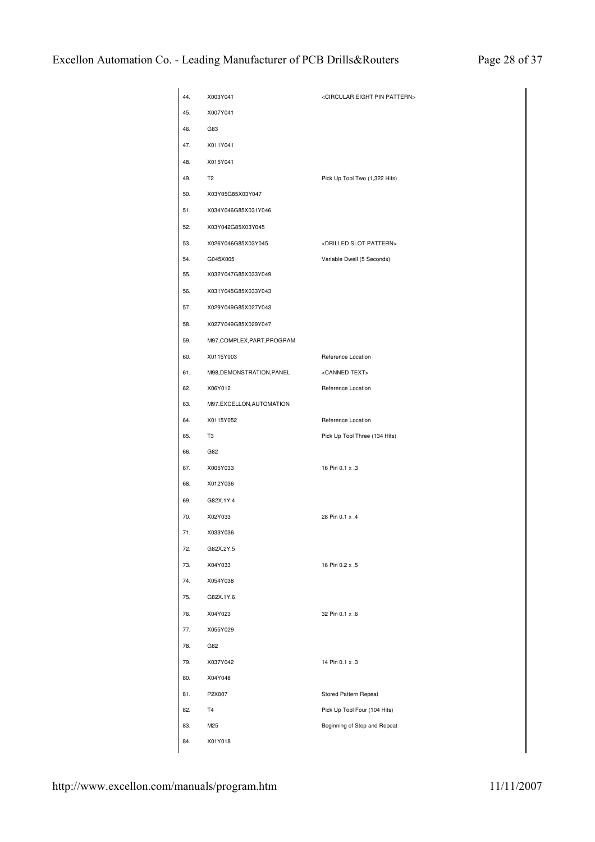| 44. | X003Y041                    | <circular eight="" pattern="" pin=""></circular> |
|-----|-----------------------------|--------------------------------------------------|
| 45. | X007Y041                    |                                                  |
| 46. | G83                         |                                                  |
| 47. | X011Y041                    |                                                  |
| 48. | X015Y041                    |                                                  |
| 49. | T <sub>2</sub>              | Pick Up Tool Two (1,322 Hits)                    |
| 50. | X03Y05G85X03Y047            |                                                  |
| 51. | X034Y046G85X031Y046         |                                                  |
| 52. | X03Y042G85X03Y045           |                                                  |
| 53. | X026Y046G85X03Y045          | <drilled pattern="" slot=""></drilled>           |
| 54. | G045X005                    | Variable Dwell (5 Seconds)                       |
| 55. | X032Y047G85X033Y049         |                                                  |
| 56. | X031Y045G85X033Y043         |                                                  |
| 57. | X029Y049G85X027Y043         |                                                  |
| 58. | X027Y049G85X029Y047         |                                                  |
| 59. | M97, COMPLEX, PART, PROGRAM |                                                  |
| 60. | X0115Y003                   | Reference Location                               |
| 61. | M98, DEMONSTRATION, PANEL   | <canned text=""></canned>                        |
| 62. | X06Y012                     | Reference Location                               |
| 63. | M97, EXCELLON, AUTOMATION   |                                                  |
| 64. | X0115Y052                   | Reference Location                               |
| 65. | T <sub>3</sub>              | Pick Up Tool Three (134 Hits)                    |
| 66. | G82                         |                                                  |
| 67. | X005Y033                    | 16 Pin 0.1 x .3                                  |
| 68. | X012Y036                    |                                                  |
| 69. | G82X.1Y.4                   |                                                  |
| 70. | X02Y033                     | 28 Pin 0.1 x .4                                  |
| 71. | X033Y036                    |                                                  |
| 72. | G82X.2Y.5                   |                                                  |
| 73. | X04Y033                     | 16 Pin 0.2 x .5                                  |
| 74. | X054Y038                    |                                                  |
| 75. | G82X.1Y.6                   |                                                  |
| 76. | X04Y023                     | 32 Pin 0.1 x .6                                  |
| 77. | X055Y029                    |                                                  |
| 78. | G82                         |                                                  |
| 79. | X037Y042                    | 14 Pin 0.1 x .3                                  |
| 80. | X04Y048                     |                                                  |
| 81. | P2X007                      | Stored Pattern Repeat                            |
| 82. | T4                          | Pick Up Tool Four (104 Hits)                     |
| 83. | M25                         | Beginning of Step and Repeat                     |
| 84. | X01Y018                     |                                                  |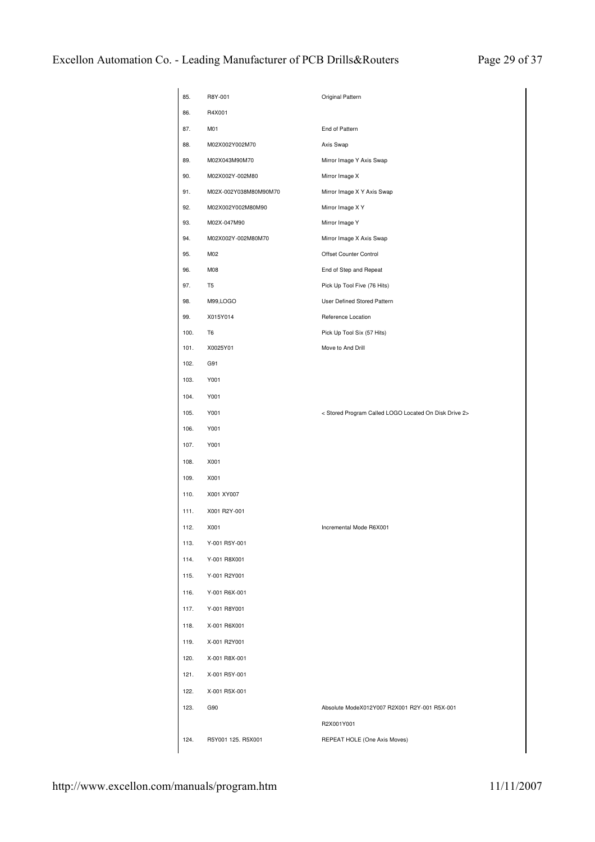| 85.  | R8Y-001               | Original Pattern                                      |
|------|-----------------------|-------------------------------------------------------|
| 86.  | R4X001                |                                                       |
| 87.  | M01                   | End of Pattern                                        |
| 88.  | M02X002Y002M70        | Axis Swap                                             |
| 89.  | M02X043M90M70         | Mirror Image Y Axis Swap                              |
| 90.  | M02X002Y-002M80       | Mirror Image X                                        |
| 91.  | M02X-002Y038M80M90M70 | Mirror Image X Y Axis Swap                            |
| 92.  | M02X002Y002M80M90     | Mirror Image X Y                                      |
| 93.  | M02X-047M90           | Mirror Image Y                                        |
| 94.  | M02X002Y-002M80M70    | Mirror Image X Axis Swap                              |
| 95.  | M02                   | Offset Counter Control                                |
| 96.  | M08                   | End of Step and Repeat                                |
| 97.  | T <sub>5</sub>        | Pick Up Tool Five (76 Hits)                           |
| 98.  | M99, LOGO             | User Defined Stored Pattern                           |
| 99.  | X015Y014              | Reference Location                                    |
| 100. | T <sub>6</sub>        | Pick Up Tool Six (57 Hits)                            |
| 101. | X0025Y01              | Move to And Drill                                     |
| 102. | G91                   |                                                       |
| 103. | Y001                  |                                                       |
| 104. | Y001                  |                                                       |
| 105. | Y001                  | < Stored Program Called LOGO Located On Disk Drive 2> |
| 106. | Y001                  |                                                       |
| 107. | Y001                  |                                                       |
| 108. | X001                  |                                                       |
| 109. | X001                  |                                                       |
| 110. | X001 XY007            |                                                       |
| 111. | X001 R2Y-001          |                                                       |
| 112. | X001                  | Incremental Mode R6X001                               |
| 113. | Y-001 R5Y-001         |                                                       |
| 114. | Y-001 R8X001          |                                                       |
| 115. | Y-001 R2Y001          |                                                       |
| 116. | Y-001 R6X-001         |                                                       |
| 117. | Y-001 R8Y001          |                                                       |
| 118. | X-001 R6X001          |                                                       |
| 119. | X-001 R2Y001          |                                                       |
| 120. | X-001 R8X-001         |                                                       |
| 121. | X-001 R5Y-001         |                                                       |
| 122. | X-001 R5X-001         |                                                       |
| 123. | G90                   | Absolute ModeX012Y007 R2X001 R2Y-001 R5X-001          |
|      |                       | R2X001Y001                                            |
| 124. | R5Y001 125. R5X001    | REPEAT HOLE (One Axis Moves)                          |
|      |                       |                                                       |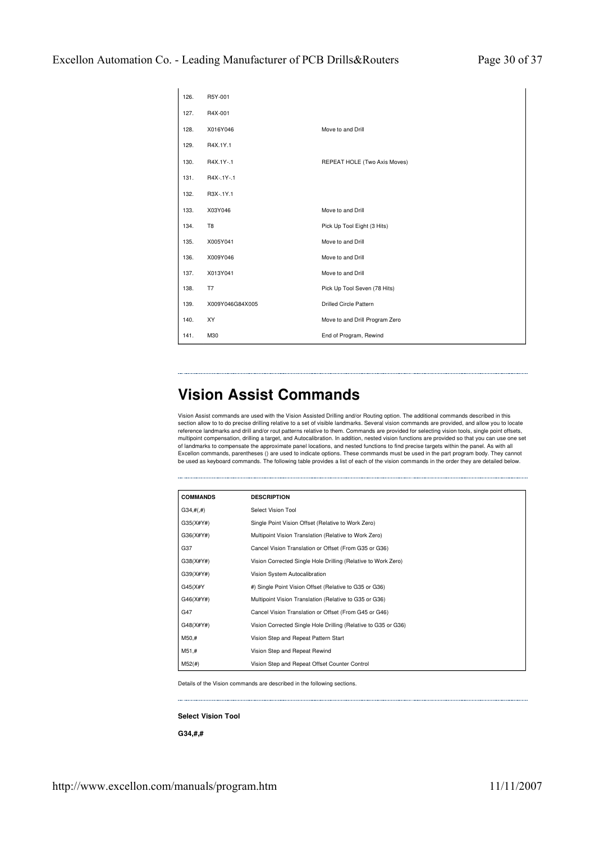| 126. | R5Y-001         |                                |
|------|-----------------|--------------------------------|
| 127. | R4X-001         |                                |
| 128. | X016Y046        | Move to and Drill              |
| 129. | R4X.1Y.1        |                                |
| 130. | R4X.1Y-.1       | REPEAT HOLE (Two Axis Moves)   |
| 131. | R4X-.1Y-.1      |                                |
| 132. | R3X-.1Y.1       |                                |
| 133. | X03Y046         | Move to and Drill              |
| 134. | T <sub>8</sub>  | Pick Up Tool Eight (3 Hits)    |
| 135. | X005Y041        | Move to and Drill              |
| 136. | X009Y046        | Move to and Drill              |
| 137. | X013Y041        | Move to and Drill              |
| 138. | T7              | Pick Up Tool Seven (78 Hits)   |
| 139. | X009Y046G84X005 | <b>Drilled Circle Pattern</b>  |
| 140. | XY              | Move to and Drill Program Zero |
| 141. | M30             | End of Program, Rewind         |

# **Vision Assist Commands**

Vision Assist commands are used with the Vision Assisted Drilling and/or Routing option. The additional commands described in this section allow to to do precise drilling relative to a set of visible landmarks. Several vision commands are provided, and allow you to locate<br>reference landmarks and drill and/or rout patterns relative to them. Commands ar multipoint compensation, drilling a target, and Autocalibration. In addition, nested vision functions are provided so that you can use one set of landmarks to compensate the approximate panel locations, and nested functions to find precise targets within the panel. As with all Excellon commands, parentheses () are used to indicate options. These commands must be used in the part program body. They cannot<br>be used as keyboard commands. The following table provides a list of each of the vision comm

| <b>COMMANDS</b> | <b>DESCRIPTION</b>                                             |
|-----------------|----------------------------------------------------------------|
| $G34, \#(.#)$   | Select Vision Tool                                             |
| G35(X#Y#)       | Single Point Vision Offset (Relative to Work Zero)             |
| G36(X#Y#)       | Multipoint Vision Translation (Relative to Work Zero)          |
| G37             | Cancel Vision Translation or Offset (From G35 or G36)          |
| G38(X#Y#)       | Vision Corrected Single Hole Drilling (Relative to Work Zero)  |
| G39(X#Y#)       | Vision System Autocalibration                                  |
| G45(X#Y         | #) Single Point Vision Offset (Relative to G35 or G36)         |
| G46(X#Y#)       | Multipoint Vision Translation (Relative to G35 or G36)         |
| G47             | Cancel Vision Translation or Offset (From G45 or G46)          |
| G48(X#Y#)       | Vision Corrected Single Hole Drilling (Relative to G35 or G36) |
| M50,#           | Vision Step and Repeat Pattern Start                           |
| M51,#           | Vision Step and Repeat Rewind                                  |
| M52(#)          | Vision Step and Repeat Offset Counter Control                  |

Details of the Vision commands are described in the following sections.

**Select Vision Tool**

**G34,#,#**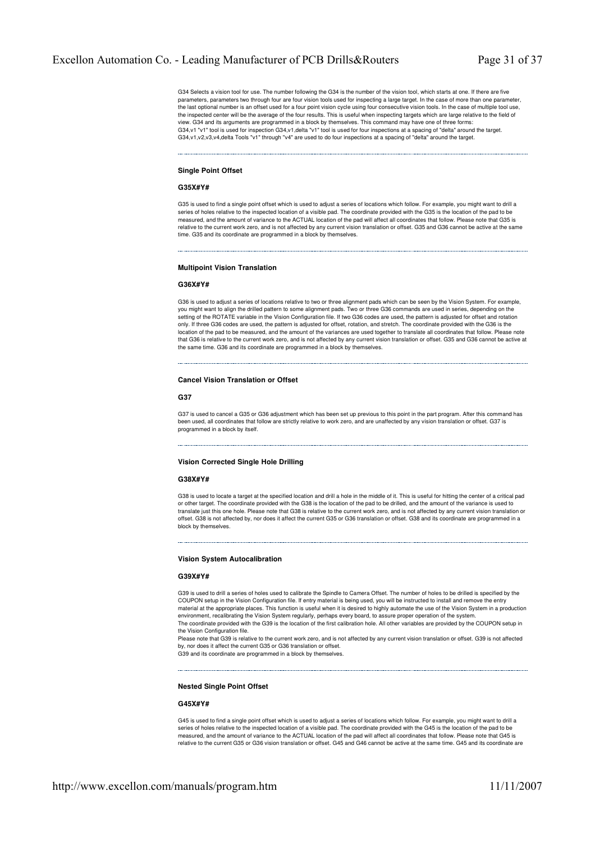G34 Selects a vision tool for use. The number following the G34 is the number of the vision tool, which starts at one. If there are five parameters, parameters two through four are four vision tools used for inspecting a large target. In the case of more than one parameter, the last optional number is an offset used for a four point vision cycle using four consecutive vision tools. In the case of multiple tool use, the inspected center will be the average of the four results. This is useful when inspecting targets which are large relative to the field of view. G34 and its arguments are programmed in a block by themselves. This command may have one of three forms: G34,v1 "v1" tool is used for inspection G34,v1,delta "v1" tool is used for four inspections at a spacing of "delta" around the target. G34,v1,v2,v3,v4,delta Tools "v1" through "v4" are used to do four inspections at a spacing of "delta" around the target.

# **Single Point Offset**

#### **G35X#Y#**

G35 is used to find a single point offset which is used to adjust a series of locations which follow. For example, you might want to drill a series of holes relative to the inspected location of a visible pad. The coordinate provided with the G35 is the location of the pad to be measured, and the amount of variance to the ACTUAL location of the pad will affect all coordinates that follow. Please note that G35 is relative to the current work zero, and is not affected by any current vision translation or offset. G35 and G36 cannot be active at the same time. G35 and its coordinate are programmed in a block by themselves.

# **Multipoint Vision Translation**

#### **G36X#Y#**

G36 is used to adjust a series of locations relative to two or three alignment pads which can be seen by the Vision System. For example, you might want to align the drilled pattern to some alignment pads. Two or three G36 commands are used in series, depending on the setting of the ROTATE variable in the Vision Configuration file. If two G36 codes are used, the pattern is adjusted for offset and rotation only. If three G36 codes are used, the pattern is adjusted for offset, rotation, and stretch. The coordinate provided with the G36 is the location of the pad to be measured, and the amount of the variances are used together to translate all coordinates that follow. Please note that G36 is relative to the current work zero, and is not affected by any current vision translation or offset. G35 and G36 cannot be active at the same time. G36 and its coordinate are programmed in a block by themselves.

# **Cancel Vision Translation or Offset**

#### **G37**

G37 is used to cancel a G35 or G36 adjustment which has been set up previous to this point in the part program. After this command has been used, all coordinates that follow are strictly relative to work zero, and are unaffected by any vision translation or offset. G37 is programmed in a block by itself.

#### **Vision Corrected Single Hole Drilling**

#### **G38X#Y#**

G38 is used to locate a target at the specified location and drill a hole in the middle of it. This is useful for hitting the center of a critical pad or other target. The coordinate provided with the G38 is the location of the pad to be drilled, and the amount of the variance is used to translate just this one hole. Please note that G38 is relative to the current work zero, and is not affected by any current vision translation or offset. G38 is not affected by, nor does it affect the current G35 or G36 translation or offset. G38 and its coordinate are programmed in a block by themselves.

#### **Vision System Autocalibration**

# **G39X#Y#**

G39 is used to drill a series of holes used to calibrate the Spindle to Camera Offset. The number of holes to be drilled is specified by the COUPON setup in the Vision Configuration file. If entry material is being used, you will be instructed to install and remove the entry material at the appropriate places. This function is useful when it is desired to highly automate the use of the Vision System in a production environment, recalibrating the Vision System regularly, perhaps every board, to assure proper operation of the system The coordinate provided with the G39 is the location of the first calibration hole. All other variables are provided by the COUPON setup in the Vision Configuration file.

Please note that G39 is relative to the current work zero, and is not affected by any current vision translation or offset. G39 is not affected by, nor does it affect the current G35 or G36 translation or offset.

G39 and its coordinate are programmed in a block by themselve

#### **Nested Single Point Offset**

#### **G45X#Y#**

G45 is used to find a single point offset which is used to adjust a series of locations which follow. For example, you might want to drill a series of holes relative to the inspected location of a visible pad. The coordinate provided with the G45 is the location of the pad to be measured, and the amount of variance to the ACTUAL location of the pad will affect all coordinates that follow. Please note that G45 is relative to the current G35 or G36 vision translation or offset. G45 and G46 cannot be active at the same time. G45 and its coordinate are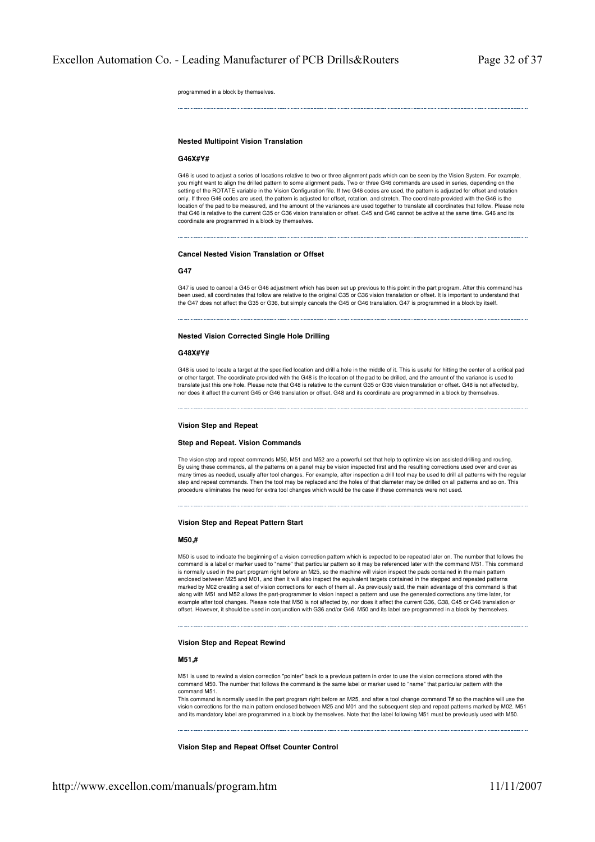programmed in a block by themselves.

# **Nested Multipoint Vision Translation**

#### **G46X#Y#**

G46 is used to adjust a series of locations relative to two or three alignment pads which can be seen by the Vision System. For example, you might want to align the drilled pattern to some alignment pads. Two or three G46 commands are used in series, depending on the setting of the ROTATE variable in the Vision Configuration file. If two G46 codes are used, the pattern is adjusted for offset and rotation only. If three G46 codes are used, the pattern is adjusted for offset, rotation, and stretch. The coordinate provided with the G46 is the location of the pad to be measured, and the amount of the variances are used together to translate all coordinates that follow. Please note that G46 is relative to the current G35 or G36 vision translation or offset. G45 and G46 cannot be active at the same time. G46 and its coordinate are programmed in a block by themselves.

#### **Cancel Nested Vision Translation or Offset**

#### **G47**

G47 is used to cancel a G45 or G46 adjustment which has been set up previous to this point in the part program. After this command has been used, all coordinates that follow are relative to the original G35 or G36 vision translation or offset. It is important to understand that the G47 does not affect the G35 or G36, but simply cancels the G45 or G46 translation. G47 is programmed in a block by itself.

#### **Nested Vision Corrected Single Hole Drilling**

#### **G48X#Y#**

G48 is used to locate a target at the specified location and drill a hole in the middle of it. This is useful for hitting the center of a critical pad or other target. The coordinate provided with the G48 is the location of the pad to be drilled, and the amount of the variance is used to translate just this one hole. Please note that G48 is relative to the current G35 or G36 vision translation or offset. G48 is not affected by, nor does it affect the current G45 or G46 translation or offset. G48 and its coordinate are programmed in a block by themselves.

#### **Vision Step and Repeat**

# **Step and Repeat. Vision Commands**

The vision step and repeat commands M50, M51 and M52 are a powerful set that help to optimize vision assisted drilling and routing. By using these commands, all the patterns on a panel may be vision inspected first and the resulting corrections used over and over as many times as needed, usually after tool changes. For example, after inspection a drill tool may be used to drill all patterns with the regular step and repeat commands. Then the tool may be replaced and the holes of that diameter may be drilled on all patterns and so on. This procedure eliminates the need for extra tool changes which would be the case if these commands were not used.

#### **Vision Step and Repeat Pattern Start**

# **M50,#**

M50 is used to indicate the beginning of a vision correction pattern which is expected to be repeated later on. The number that follows the command is a label or marker used to "name" that particular pattern so it may be referenced later with the command M51. This command is normally used in the part program right before an M25, so the machine will vision inspect the pads contained in the main pattern enclosed between M25 and M01, and then it will also inspect the equivalent targets contained in the stepped and repeated patterns marked by M02 creating a set of vision corrections for each of them all. As previously said, the main advantage of this command is that along with M51 and M52 allows the part-programmer to vision inspect a pattern and use the generated corrections any time later, for example after tool changes. Please note that M50 is not affected by, nor does it affect the current G36, G38, G45 or G46 translation or offset. However, it should be used in conjunction with G36 and/or G46. M50 and its label are programmed in a block by themselves.

# **Vision Step and Repeat Rewind**

#### **M51,#**

M51 is used to rewind a vision correction "pointer" back to a previous pattern in order to use the vision corrections stored with the command M50. The number that follows the command is the same label or marker used to "name" that particular pattern with the command M51.

This command is normally used in the part program right before an M25, and after a tool change command T# so the machine will use the vision corrections for the main pattern enclosed between M25 and M01 and the subsequent step and repeat patterns marked by M02. M51 and its mandatory label are programmed in a block by themselves. Note that the label following M51 must be previously used with M50.

**Vision Step and Repeat Offset Counter Control**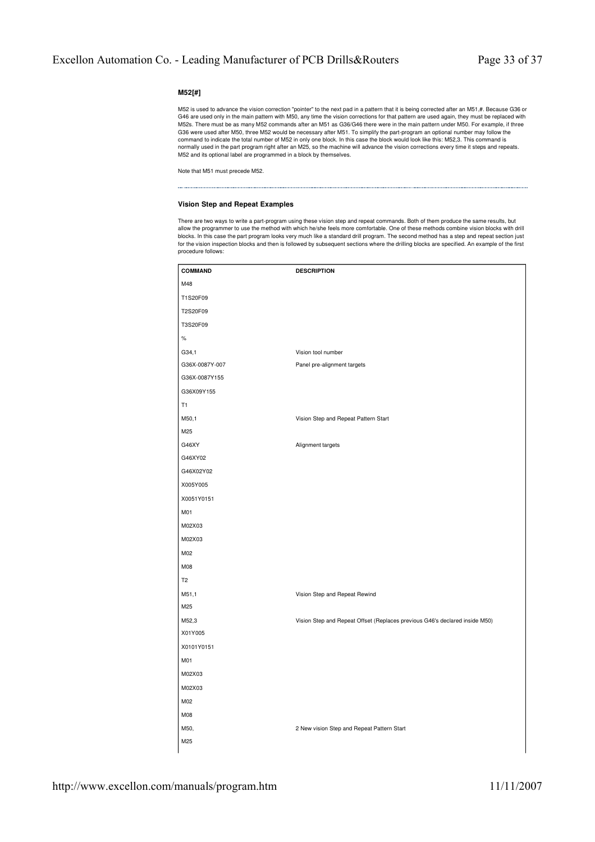# **M52[#]**

M52 is used to advance the vision correction "pointer" to the next pad in a pattern that it is being corrected after an M51,#. Because G36 or G46 are used only in the main pattern with M50, any time the vision corrections for that pattern are used again, they must be replaced with<br>M52s. There must be as many M52 commands after an M51 as G36/G46 there were in the G36 were used after M50, three M52 would be necessary after M51. To simplify the part-program an optional number may follow the command to indicate the total number of M52 in only one block. In this case the block would look like this: M52,3. This command is normally used in the part program right after an M25, so the machine will advance the vision corrections every time it steps and repeats. M52 and its optional label are programmed in a block by themselves.

Note that M51 must precede M52.

# **Vision Step and Repeat Examples**

There are two ways to write a part-program using these vision step and repeat commands. Both of them produce the same results, but allow the programmer to use the method with which he/she feels more comfortable. One of these methods combine vision blocks with drill blocks. In this case the part program looks very much like a standard drill program. The second method has a step and repeat section just for the vision inspection blocks and then is followed by subsequent sections where the drilling blocks are specified. An example of the first procedure follows:

| <b>COMMAND</b> | <b>DESCRIPTION</b>                                                          |
|----------------|-----------------------------------------------------------------------------|
| M48            |                                                                             |
| T1S20F09       |                                                                             |
| T2S20F09       |                                                                             |
| T3S20F09       |                                                                             |
| $\%$           |                                                                             |
| G34,1          | Vision tool number                                                          |
| G36X-0087Y-007 | Panel pre-alignment targets                                                 |
| G36X-0087Y155  |                                                                             |
| G36X09Y155     |                                                                             |
| T1             |                                                                             |
| M50,1          | Vision Step and Repeat Pattern Start                                        |
| M25            |                                                                             |
| G46XY          | Alignment targets                                                           |
| G46XY02        |                                                                             |
| G46X02Y02      |                                                                             |
| X005Y005       |                                                                             |
| X0051Y0151     |                                                                             |
| M01            |                                                                             |
| M02X03         |                                                                             |
| M02X03         |                                                                             |
| M02            |                                                                             |
| M08            |                                                                             |
| T <sub>2</sub> |                                                                             |
| M51,1          | Vision Step and Repeat Rewind                                               |
| M25            |                                                                             |
| M52,3          | Vision Step and Repeat Offset (Replaces previous G46's declared inside M50) |
| X01Y005        |                                                                             |
| X0101Y0151     |                                                                             |
| M01            |                                                                             |
| M02X03         |                                                                             |
| M02X03         |                                                                             |
| M02            |                                                                             |
| M08            |                                                                             |
| M50,           | 2 New vision Step and Repeat Pattern Start                                  |
| M25            |                                                                             |
|                |                                                                             |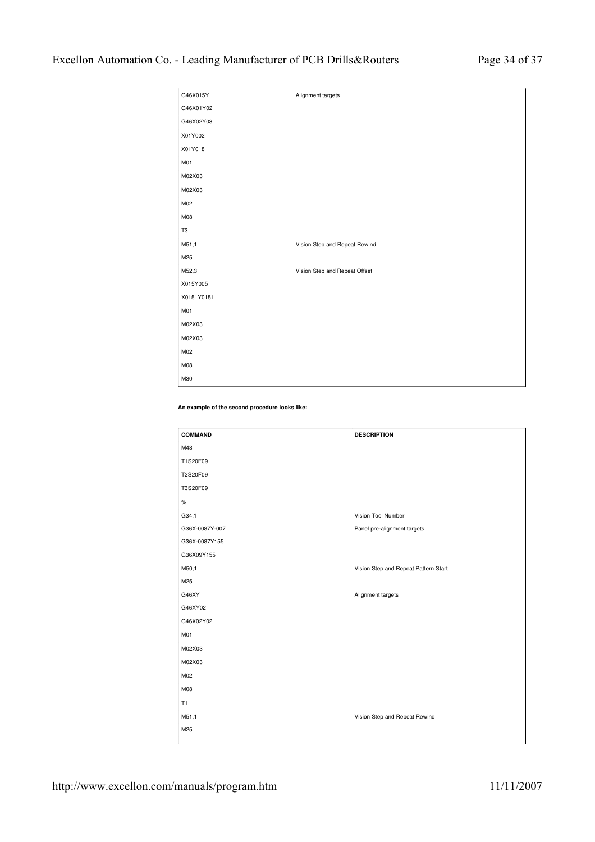| G46X015Y   | Alignment targets             |
|------------|-------------------------------|
| G46X01Y02  |                               |
| G46X02Y03  |                               |
| X01Y002    |                               |
| X01Y018    |                               |
| M01        |                               |
| M02X03     |                               |
| M02X03     |                               |
| M02        |                               |
| M08        |                               |
| T3         |                               |
| M51,1      | Vision Step and Repeat Rewind |
|            |                               |
| M25        |                               |
| M52,3      | Vision Step and Repeat Offset |
| X015Y005   |                               |
| X0151Y0151 |                               |
| M01        |                               |
| M02X03     |                               |
| M02X03     |                               |
| M02        |                               |
| M08        |                               |

**An example of the second procedure looks like:**

| <b>COMMAND</b> | <b>DESCRIPTION</b>                   |
|----------------|--------------------------------------|
| M48            |                                      |
| T1S20F09       |                                      |
| T2S20F09       |                                      |
| T3S20F09       |                                      |
| $\%$           |                                      |
| G34,1          | Vision Tool Number                   |
| G36X-0087Y-007 | Panel pre-alignment targets          |
| G36X-0087Y155  |                                      |
| G36X09Y155     |                                      |
| M50,1          | Vision Step and Repeat Pattern Start |
| M25            |                                      |
| G46XY          | Alignment targets                    |
| G46XY02        |                                      |
| G46X02Y02      |                                      |
| M01            |                                      |
| M02X03         |                                      |
| M02X03         |                                      |
| M02            |                                      |
| M08            |                                      |
| T1             |                                      |
| M51,1          | Vision Step and Repeat Rewind        |
| M25            |                                      |
|                |                                      |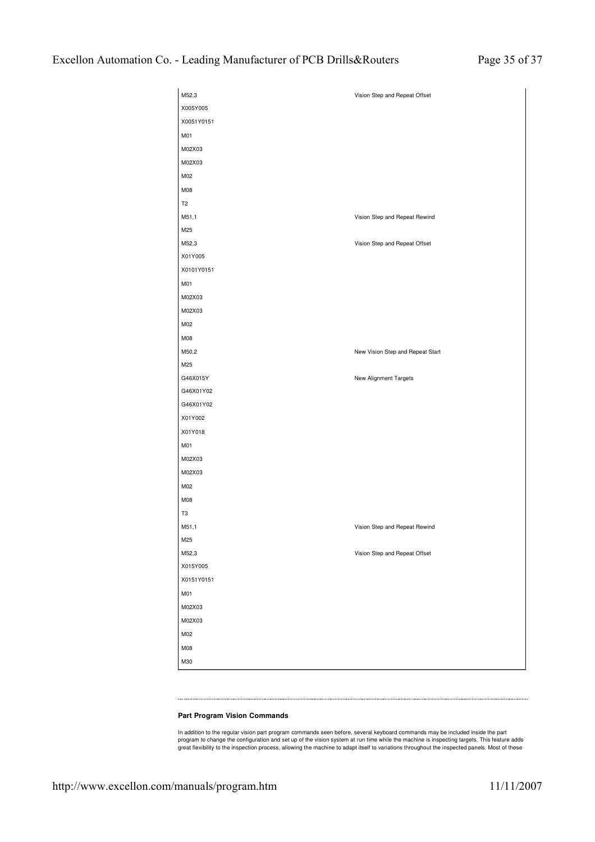| M52,3                  | Vision Step and Repeat Offset    |
|------------------------|----------------------------------|
| X005Y005               |                                  |
| X0051Y0151             |                                  |
| M01                    |                                  |
| M02X03                 |                                  |
| M02X03                 |                                  |
| M02                    |                                  |
| M08                    |                                  |
| T <sub>2</sub>         |                                  |
| M51,1                  | Vision Step and Repeat Rewind    |
| M25                    |                                  |
| M52,3                  | Vision Step and Repeat Offset    |
| X01Y005                |                                  |
| X0101Y0151             |                                  |
| M01                    |                                  |
| M02X03                 |                                  |
| M02X03                 |                                  |
| M02                    |                                  |
| M08                    |                                  |
| M50,2                  | New Vision Step and Repeat Start |
| M25                    |                                  |
| G46X015Y               | New Alignment Targets            |
| G46X01Y02              |                                  |
| G46X01Y02              |                                  |
| X01Y002                |                                  |
| X01Y018                |                                  |
| M01                    |                                  |
| M02X03                 |                                  |
| M02X03                 |                                  |
| M02                    |                                  |
| M08                    |                                  |
| T <sub>3</sub>         |                                  |
| M51,1                  | Vision Step and Repeat Rewind    |
| M25                    |                                  |
| M52,3                  | Vision Step and Repeat Offset    |
| X015Y005<br>X0151Y0151 |                                  |
|                        |                                  |
| M01<br>M02X03          |                                  |
| M02X03                 |                                  |
| M02                    |                                  |
| M08                    |                                  |
|                        |                                  |
| M30                    |                                  |

# **Part Program Vision Commands**

In addition to the regular vision part program commands seen before, several keyboard commands may be included inside the part<br>program to change the configuration and set up of the vision system at run time while the machi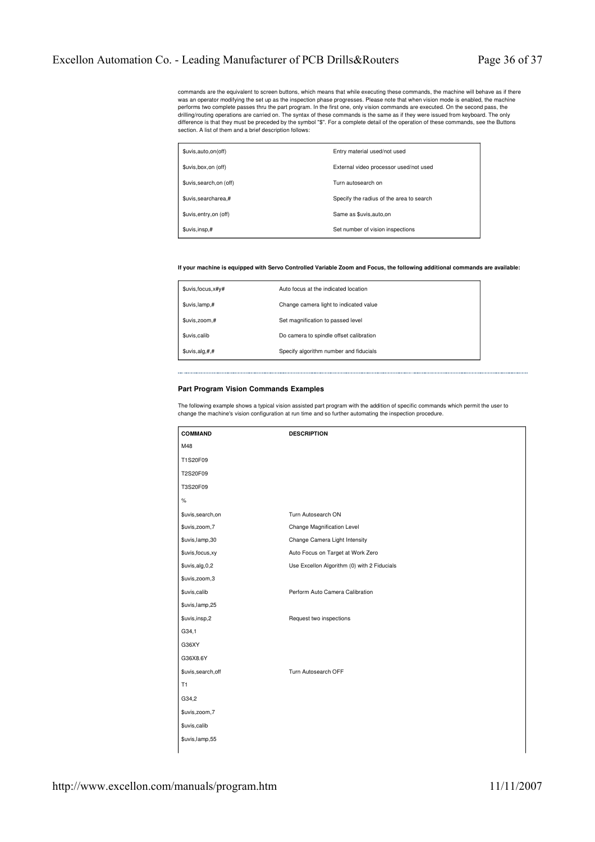commands are the equivalent to screen buttons, which means that while executing these commands, the machine will behave as if there was an operator modifying the set up as the inspection phase progresses. Please note that when vision mode is enabled, the machine<br>performs two complete passes thru the part program. In the first one, only vision commands drilling/routing operations are carried on. The syntax of these commands is the same as if they were issued from keyboard. The only difference is that they must be preceded by the symbol "\$". For a complete detail of the operation of these commands, see the Buttons section. A list of them and a brief description follows:

| \$uvis,auto,on(off)      | Entry material used/not used             |
|--------------------------|------------------------------------------|
| \$uvis, box, on (off)    | External video processor used/not used   |
| \$uvis, search, on (off) | Turn autosearch on                       |
| \$uvis, searcharea, #    | Specify the radius of the area to search |
| \$uvis, entry, on (off)  | Same as \$uvis, auto, on                 |
| \$uvis, insp,#           | Set number of vision inspections         |

# **If your machine is equipped with Servo Controlled Variable Zoom and Focus, the following additional commands are available:**

| \$uvis, focus, x#y#   | Auto focus at the indicated location    |
|-----------------------|-----------------------------------------|
| \$uvis,lamp,#         | Change camera light to indicated value  |
| \$uvis,zoom,#         | Set magnification to passed level       |
| \$uvis,calib          | Do camera to spindle offset calibration |
| $\xi$ uvis, alg, #, # | Specify algorithm number and fiducials  |

# **Part Program Vision Commands Examples**

The following example shows a typical vision assisted part program with the addition of specific commands which permit the user to<br>change the machine's vision configuration at run time and so further automating the inspect

| <b>COMMAND</b>    | <b>DESCRIPTION</b>                          |
|-------------------|---------------------------------------------|
| M48               |                                             |
| T1S20F09          |                                             |
| T2S20F09          |                                             |
| T3S20F09          |                                             |
| $\%$              |                                             |
| \$uvis,search,on  | Turn Autosearch ON                          |
| \$uvis,zoom,7     | Change Magnification Level                  |
| \$uvis,lamp,30    | Change Camera Light Intensity               |
| \$uvis, focus, xy | Auto Focus on Target at Work Zero           |
| \$uvis,alg,0,2    | Use Excellon Algorithm (0) with 2 Fiducials |
| \$uvis,zoom,3     |                                             |
| \$uvis,calib      | Perform Auto Camera Calibration             |
| \$uvis,lamp,25    |                                             |
| \$uvis,insp,2     | Request two inspections                     |
| G34,1             |                                             |
| G36XY             |                                             |
| G36X8.6Y          |                                             |
| \$uvis,search,off | Turn Autosearch OFF                         |
| T1                |                                             |
| G34,2             |                                             |
| \$uvis,zoom,7     |                                             |
| \$uvis,calib      |                                             |
| \$uvis,lamp,55    |                                             |
|                   |                                             |